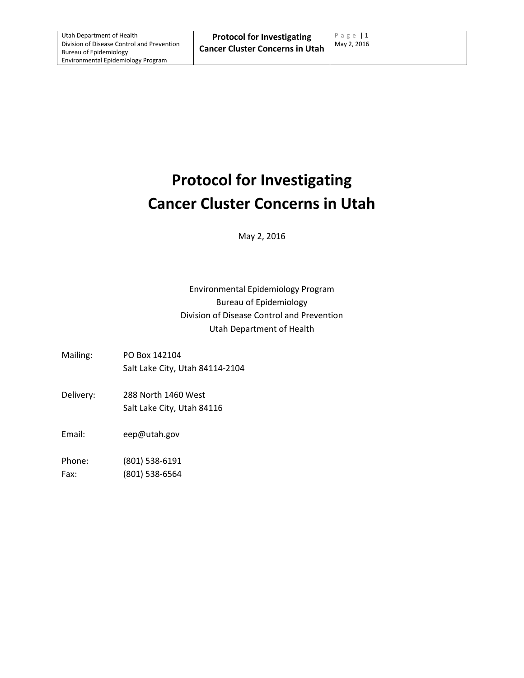# **Protocol for Investigating Cancer Cluster Concerns in Utah**

May 2, 2016

### Environmental Epidemiology Program Bureau of Epidemiology Division of Disease Control and Prevention Utah Department of Health

- Mailing: PO Box 142104 Salt Lake City, Utah 84114-2104
- Delivery: 288 North 1460 West Salt Lake City, Utah 84116
- Email: eep@utah.gov
- Phone: (801) 538-6191 Fax: (801) 538-6564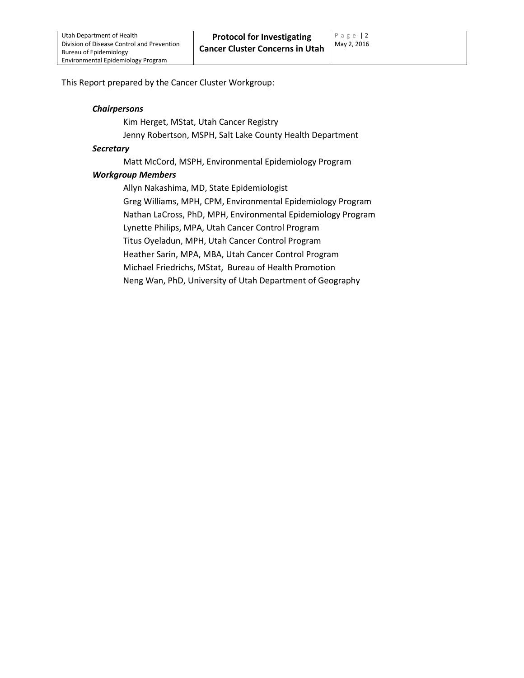This Report prepared by the Cancer Cluster Workgroup:

#### *Chairpersons*

Kim Herget, MStat, Utah Cancer Registry Jenny Robertson, MSPH, Salt Lake County Health Department

#### *Secretary*

Matt McCord, MSPH, Environmental Epidemiology Program

#### *Workgroup Members*

Allyn Nakashima, MD, State Epidemiologist Greg Williams, MPH, CPM, Environmental Epidemiology Program Nathan LaCross, PhD, MPH, Environmental Epidemiology Program Lynette Philips, MPA, Utah Cancer Control Program Titus Oyeladun, MPH, Utah Cancer Control Program Heather Sarin, MPA, MBA, Utah Cancer Control Program Michael Friedrichs, MStat, Bureau of Health Promotion Neng Wan, PhD, University of Utah Department of Geography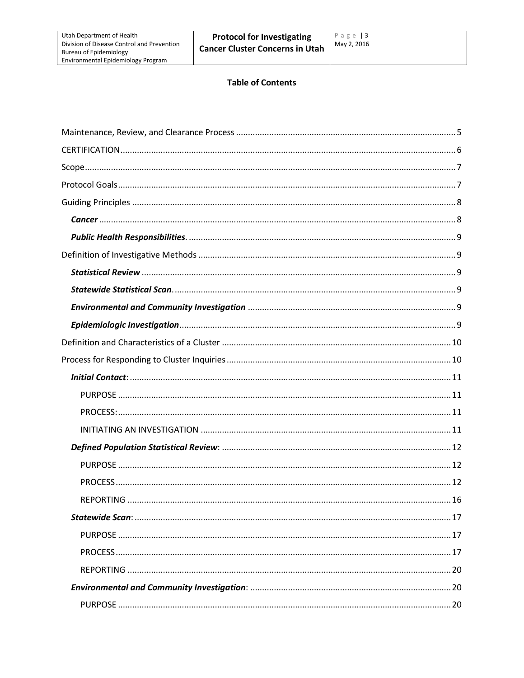#### **Table of Contents**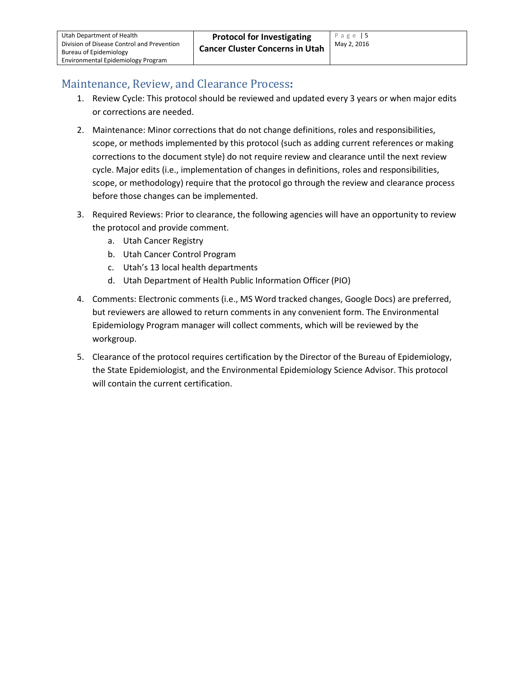### <span id="page-4-0"></span>Maintenance, Review, and Clearance Process**:**

- 1. Review Cycle: This protocol should be reviewed and updated every 3 years or when major edits or corrections are needed.
- 2. Maintenance: Minor corrections that do not change definitions, roles and responsibilities, scope, or methods implemented by this protocol (such as adding current references or making corrections to the document style) do not require review and clearance until the next review cycle. Major edits (i.e., implementation of changes in definitions, roles and responsibilities, scope, or methodology) require that the protocol go through the review and clearance process before those changes can be implemented.
- 3. Required Reviews: Prior to clearance, the following agencies will have an opportunity to review the protocol and provide comment.
	- a. Utah Cancer Registry
	- b. Utah Cancer Control Program
	- c. Utah's 13 local health departments
	- d. Utah Department of Health Public Information Officer (PIO)
- 4. Comments: Electronic comments (i.e., MS Word tracked changes, Google Docs) are preferred, but reviewers are allowed to return comments in any convenient form. The Environmental Epidemiology Program manager will collect comments, which will be reviewed by the workgroup.
- 5. Clearance of the protocol requires certification by the Director of the Bureau of Epidemiology, the State Epidemiologist, and the Environmental Epidemiology Science Advisor. This protocol will contain the current certification.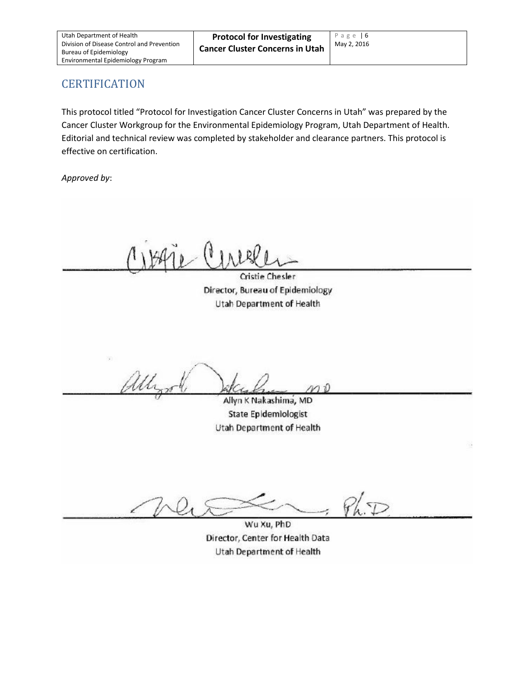### <span id="page-5-0"></span>**CERTIFICATION**

This protocol titled "Protocol for Investigation Cancer Cluster Concerns in Utah" was prepared by the Cancer Cluster Workgroup for the Environmental Epidemiology Program, Utah Department of Health. Editorial and technical review was completed by stakeholder and clearance partners. This protocol is effective on certification.

*Approved by*:

 $(111$ 

Cristie Chesler Director, Bureau of Epidemiology Utah Department of Health

Uh

Allyn K Nakashima, MD State Epidemiologist Utah Department of Health

 $R\nabla$ 

Wu Xu, PhD Director, Center for Health Data Utah Department of Health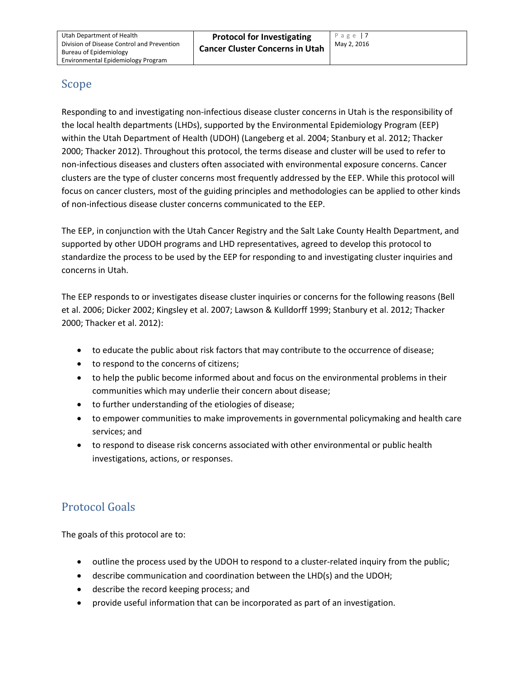### <span id="page-6-0"></span>Scope

Responding to and investigating non-infectious disease cluster concerns in Utah is the responsibility of the local health departments (LHDs), supported by the Environmental Epidemiology Program (EEP) within the Utah Department of Health (UDOH) (Langeberg et al. 2004; Stanbury et al. 2012; Thacker 2000; Thacker 2012). Throughout this protocol, the terms disease and cluster will be used to refer to non-infectious diseases and clusters often associated with environmental exposure concerns. Cancer clusters are the type of cluster concerns most frequently addressed by the EEP. While this protocol will focus on cancer clusters, most of the guiding principles and methodologies can be applied to other kinds of non-infectious disease cluster concerns communicated to the EEP.

The EEP, in conjunction with the Utah Cancer Registry and the Salt Lake County Health Department, and supported by other UDOH programs and LHD representatives, agreed to develop this protocol to standardize the process to be used by the EEP for responding to and investigating cluster inquiries and concerns in Utah.

The EEP responds to or investigates disease cluster inquiries or concerns for the following reasons (Bell et al. 2006; Dicker 2002; Kingsley et al. 2007; Lawson & Kulldorff 1999; Stanbury et al. 2012; Thacker 2000; Thacker et al. 2012):

- to educate the public about risk factors that may contribute to the occurrence of disease;
- to respond to the concerns of citizens;
- to help the public become informed about and focus on the environmental problems in their communities which may underlie their concern about disease;
- to further understanding of the etiologies of disease;
- to empower communities to make improvements in governmental policymaking and health care services; and
- to respond to disease risk concerns associated with other environmental or public health investigations, actions, or responses.

### <span id="page-6-1"></span>Protocol Goals

The goals of this protocol are to:

- outline the process used by the UDOH to respond to a cluster-related inquiry from the public;
- describe communication and coordination between the LHD(s) and the UDOH;
- describe the record keeping process; and
- provide useful information that can be incorporated as part of an investigation.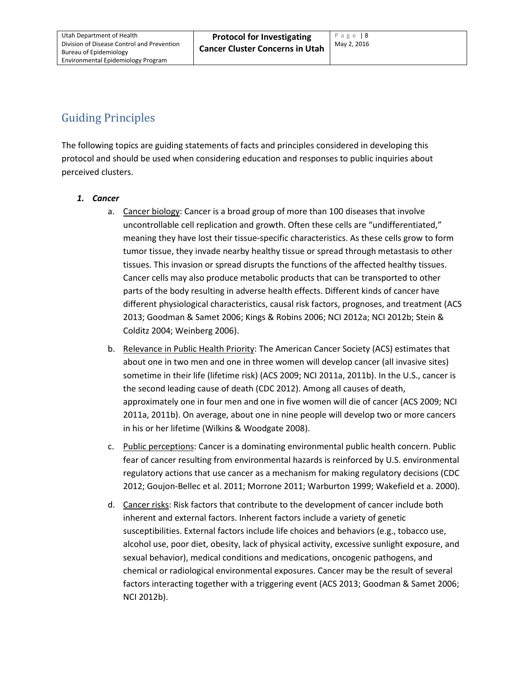# <span id="page-7-0"></span>Guiding Principles

The following topics are guiding statements of facts and principles considered in developing this protocol and should be used when considering education and responses to public inquiries about perceived clusters.

#### <span id="page-7-1"></span>*1. Cancer*

- a. Cancer biology: Cancer is a broad group of more than 100 diseases that involve uncontrollable cell replication and growth. Often these cells are "undifferentiated," meaning they have lost their tissue-specific characteristics. As these cells grow to form tumor tissue, they invade nearby healthy tissue or spread through metastasis to other tissues. This invasion or spread disrupts the functions of the affected healthy tissues. Cancer cells may also produce metabolic products that can be transported to other parts of the body resulting in adverse health effects. Different kinds of cancer have different physiological characteristics, causal risk factors, prognoses, and treatment (ACS 2013; Goodman & Samet 2006; Kings & Robins 2006; NCI 2012a; NCI 2012b; Stein & Colditz 2004; Weinberg 2006).
- b. Relevance in Public Health Priority: The American Cancer Society (ACS) estimates that about one in two men and one in three women will develop cancer (all invasive sites) sometime in their life (lifetime risk) (ACS 2009; NCI 2011a, 2011b). In the U.S., cancer is the second leading cause of death (CDC 2012). Among all causes of death, approximately one in four men and one in five women will die of cancer (ACS 2009; NCI 2011a, 2011b). On average, about one in nine people will develop two or more cancers in his or her lifetime (Wilkins & Woodgate 2008).
- c. Public perceptions: Cancer is a dominating environmental public health concern. Public fear of cancer resulting from environmental hazards is reinforced by U.S. environmental regulatory actions that use cancer as a mechanism for making regulatory decisions (CDC 2012; Goujon-Bellec et al. 2011; Morrone 2011; Warburton 1999; Wakefield et a. 2000).
- d. Cancer risks: Risk factors that contribute to the development of cancer include both inherent and external factors. Inherent factors include a variety of genetic susceptibilities. External factors include life choices and behaviors (e.g., tobacco use, alcohol use, poor diet, obesity, lack of physical activity, excessive sunlight exposure, and sexual behavior), medical conditions and medications, oncogenic pathogens, and chemical or radiological environmental exposures. Cancer may be the result of several factors interacting together with a triggering event (ACS 2013; Goodman & Samet 2006; NCI 2012b).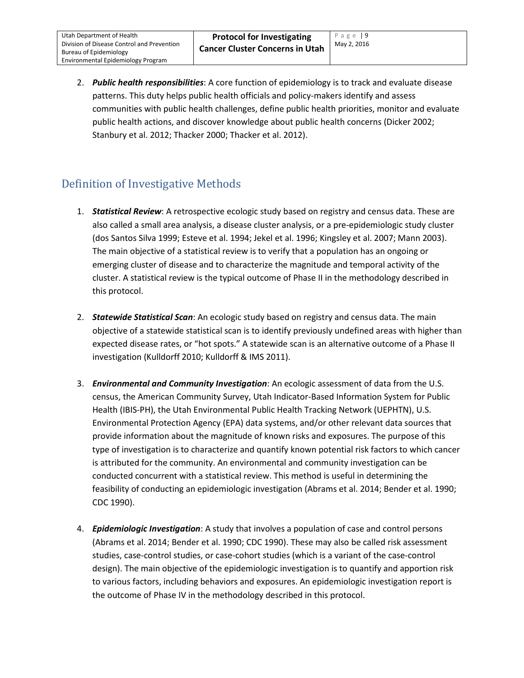<span id="page-8-0"></span>2. *Public health responsibilities*: A core function of epidemiology is to track and evaluate disease patterns. This duty helps public health officials and policy-makers identify and assess communities with public health challenges, define public health priorities, monitor and evaluate public health actions, and discover knowledge about public health concerns (Dicker 2002; Stanbury et al. 2012; Thacker 2000; Thacker et al. 2012).

### <span id="page-8-1"></span>Definition of Investigative Methods

- <span id="page-8-2"></span>1. *Statistical Review*: A retrospective ecologic study based on registry and census data. These are also called a small area analysis, a disease cluster analysis, or a pre-epidemiologic study cluster (dos Santos Silva 1999; Esteve et al. 1994; Jekel et al. 1996; Kingsley et al. 2007; Mann 2003). The main objective of a statistical review is to verify that a population has an ongoing or emerging cluster of disease and to characterize the magnitude and temporal activity of the cluster. A statistical review is the typical outcome of Phase II in the methodology described in this protocol.
- <span id="page-8-3"></span>2. *Statewide Statistical Scan*: An ecologic study based on registry and census data. The main objective of a statewide statistical scan is to identify previously undefined areas with higher than expected disease rates, or "hot spots." A statewide scan is an alternative outcome of a Phase II investigation (Kulldorff 2010; Kulldorff & IMS 2011).
- <span id="page-8-4"></span>3. *Environmental and Community Investigation*: An ecologic assessment of data from the U.S. census, the American Community Survey, Utah Indicator-Based Information System for Public Health (IBIS-PH), the Utah Environmental Public Health Tracking Network (UEPHTN), U.S. Environmental Protection Agency (EPA) data systems, and/or other relevant data sources that provide information about the magnitude of known risks and exposures. The purpose of this type of investigation is to characterize and quantify known potential risk factors to which cancer is attributed for the community. An environmental and community investigation can be conducted concurrent with a statistical review. This method is useful in determining the feasibility of conducting an epidemiologic investigation (Abrams et al. 2014; Bender et al. 1990; CDC 1990).
- <span id="page-8-5"></span>4. *Epidemiologic Investigation*: A study that involves a population of case and control persons (Abrams et al. 2014; Bender et al. 1990; CDC 1990). These may also be called risk assessment studies, case-control studies, or case-cohort studies (which is a variant of the case-control design). The main objective of the epidemiologic investigation is to quantify and apportion risk to various factors, including behaviors and exposures. An epidemiologic investigation report is the outcome of Phase IV in the methodology described in this protocol.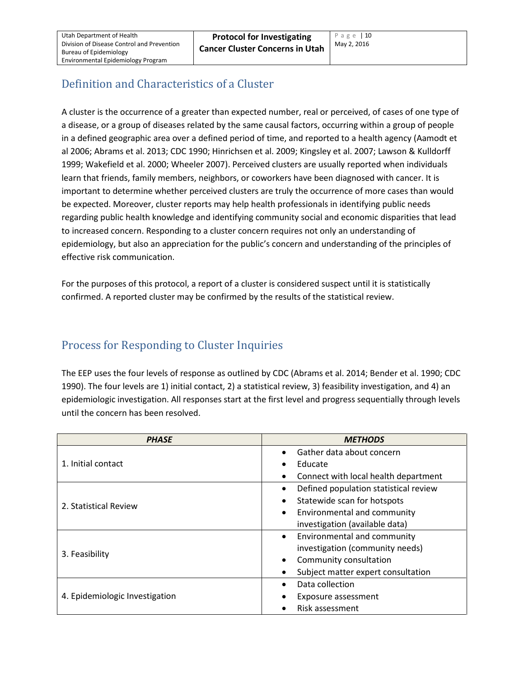# <span id="page-9-0"></span>Definition and Characteristics of a Cluster

A cluster is the occurrence of a greater than expected number, real or perceived, of cases of one type of a disease, or a group of diseases related by the same causal factors, occurring within a group of people in a defined geographic area over a defined period of time, and reported to a health agency (Aamodt et al 2006; Abrams et al. 2013; CDC 1990; Hinrichsen et al. 2009; Kingsley et al. 2007; Lawson & Kulldorff 1999; Wakefield et al. 2000; Wheeler 2007). Perceived clusters are usually reported when individuals learn that friends, family members, neighbors, or coworkers have been diagnosed with cancer. It is important to determine whether perceived clusters are truly the occurrence of more cases than would be expected. Moreover, cluster reports may help health professionals in identifying public needs regarding public health knowledge and identifying community social and economic disparities that lead to increased concern. Responding to a cluster concern requires not only an understanding of epidemiology, but also an appreciation for the public's concern and understanding of the principles of effective risk communication.

For the purposes of this protocol, a report of a cluster is considered suspect until it is statistically confirmed. A reported cluster may be confirmed by the results of the statistical review.

# <span id="page-9-1"></span>Process for Responding to Cluster Inquiries

The EEP uses the four levels of response as outlined by CDC (Abrams et al. 2014; Bender et al. 1990; CDC 1990). The four levels are 1) initial contact, 2) a statistical review, 3) feasibility investigation, and 4) an epidemiologic investigation. All responses start at the first level and progress sequentially through levels until the concern has been resolved.

| <b>PHASE</b>                   | <b>METHODS</b>                                     |  |
|--------------------------------|----------------------------------------------------|--|
|                                | Gather data about concern<br>$\bullet$             |  |
| 1. Initial contact             | Educate<br>$\bullet$                               |  |
|                                | Connect with local health department<br>$\bullet$  |  |
|                                | Defined population statistical review<br>$\bullet$ |  |
| 2. Statistical Review          | Statewide scan for hotspots<br>$\bullet$           |  |
|                                | Environmental and community<br>$\bullet$           |  |
|                                | investigation (available data)                     |  |
|                                | Environmental and community<br>$\bullet$           |  |
| 3. Feasibility                 | investigation (community needs)                    |  |
|                                | Community consultation<br>$\bullet$                |  |
|                                | Subject matter expert consultation<br>$\bullet$    |  |
|                                | Data collection<br>$\bullet$                       |  |
| 4. Epidemiologic Investigation | Exposure assessment<br>$\bullet$                   |  |
|                                | Risk assessment                                    |  |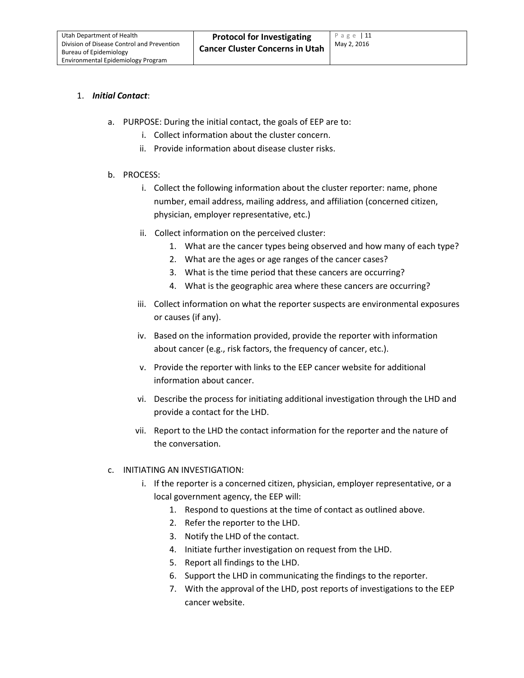#### <span id="page-10-1"></span><span id="page-10-0"></span>1. *Initial Contact*:

- a. PURPOSE: During the initial contact, the goals of EEP are to:
	- i. Collect information about the cluster concern.
	- ii. Provide information about disease cluster risks.

#### <span id="page-10-2"></span>b. PROCESS:

- i. Collect the following information about the cluster reporter: name, phone number, email address, mailing address, and affiliation (concerned citizen, physician, employer representative, etc.)
- ii. Collect information on the perceived cluster:
	- 1. What are the cancer types being observed and how many of each type?
	- 2. What are the ages or age ranges of the cancer cases?
	- 3. What is the time period that these cancers are occurring?
	- 4. What is the geographic area where these cancers are occurring?
- iii. Collect information on what the reporter suspects are environmental exposures or causes (if any).
- iv. Based on the information provided, provide the reporter with information about cancer (e.g., risk factors, the frequency of cancer, etc.).
- v. Provide the reporter with links to the EEP cancer website for additional information about cancer.
- vi. Describe the process for initiating additional investigation through the LHD and provide a contact for the LHD.
- vii. Report to the LHD the contact information for the reporter and the nature of the conversation.

#### <span id="page-10-3"></span>c. INITIATING AN INVESTIGATION:

- i. If the reporter is a concerned citizen, physician, employer representative, or a local government agency, the EEP will:
	- 1. Respond to questions at the time of contact as outlined above.
	- 2. Refer the reporter to the LHD.
	- 3. Notify the LHD of the contact.
	- 4. Initiate further investigation on request from the LHD.
	- 5. Report all findings to the LHD.
	- 6. Support the LHD in communicating the findings to the reporter.
	- 7. With the approval of the LHD, post reports of investigations to the EEP cancer website.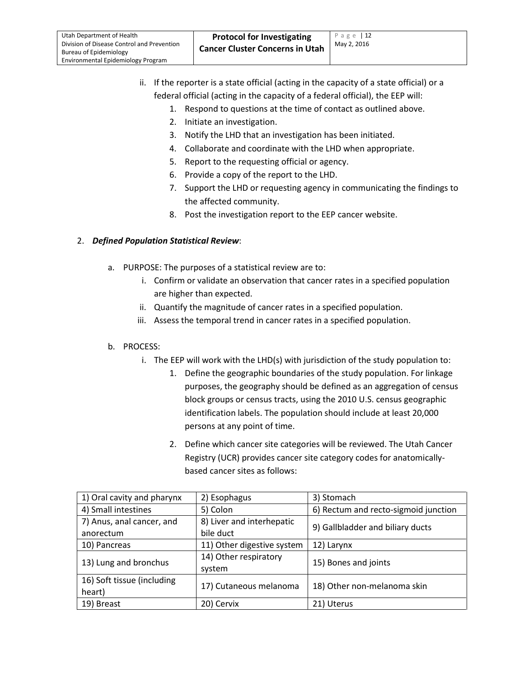- ii. If the reporter is a state official (acting in the capacity of a state official) or a federal official (acting in the capacity of a federal official), the EEP will:
	- 1. Respond to questions at the time of contact as outlined above.
	- 2. Initiate an investigation.
	- 3. Notify the LHD that an investigation has been initiated.
	- 4. Collaborate and coordinate with the LHD when appropriate.
	- 5. Report to the requesting official or agency.
	- 6. Provide a copy of the report to the LHD.
	- 7. Support the LHD or requesting agency in communicating the findings to the affected community.
	- 8. Post the investigation report to the EEP cancer website.

#### <span id="page-11-1"></span><span id="page-11-0"></span>2. *Defined Population Statistical Review*:

- a. PURPOSE: The purposes of a statistical review are to:
	- i. Confirm or validate an observation that cancer rates in a specified population are higher than expected.
	- ii. Quantify the magnitude of cancer rates in a specified population.
	- iii. Assess the temporal trend in cancer rates in a specified population.

#### <span id="page-11-2"></span>b. PROCESS:

- i. The EEP will work with the LHD(s) with jurisdiction of the study population to:
	- 1. Define the geographic boundaries of the study population. For linkage purposes, the geography should be defined as an aggregation of census block groups or census tracts, using the 2010 U.S. census geographic identification labels. The population should include at least 20,000 persons at any point of time.
	- 2. Define which cancer site categories will be reviewed. The Utah Cancer Registry (UCR) provides cancer site category codes for anatomicallybased cancer sites as follows:

| 1) Oral cavity and pharynx | 2) Esophagus                    | 3) Stomach                           |  |
|----------------------------|---------------------------------|--------------------------------------|--|
| 4) Small intestines        | 5) Colon                        | 6) Rectum and recto-sigmoid junction |  |
| 7) Anus, anal cancer, and  | 8) Liver and interhepatic       | 9) Gallbladder and biliary ducts     |  |
| anorectum                  | bile duct                       |                                      |  |
| 10) Pancreas               | 11) Other digestive system      | 12) Larynx                           |  |
| 13) Lung and bronchus      | 14) Other respiratory<br>system | 15) Bones and joints                 |  |
| 16) Soft tissue (including | 17) Cutaneous melanoma          |                                      |  |
| heart)                     |                                 | 18) Other non-melanoma skin          |  |
| 19) Breast                 | 20) Cervix                      | 21) Uterus                           |  |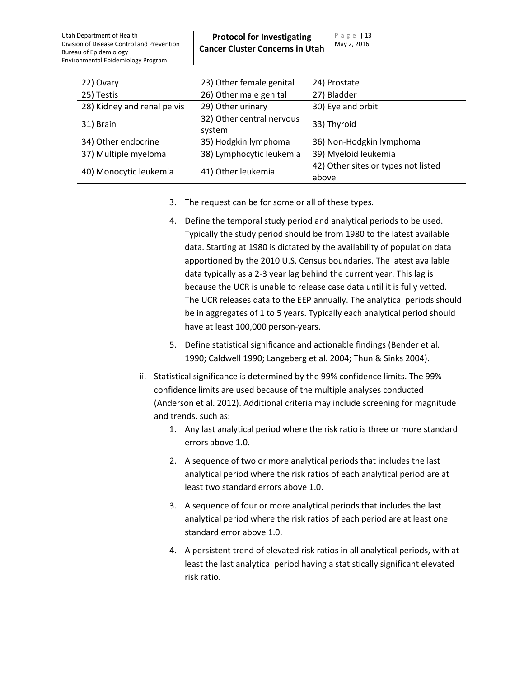**Protocol for Investigating Cancer Cluster Concerns in Utah** Page | 13 May 2, 2016

| 22) Ovary                   | 23) Other female genital  | 24) Prostate                        |  |
|-----------------------------|---------------------------|-------------------------------------|--|
| 25) Testis                  | 26) Other male genital    | 27) Bladder                         |  |
| 28) Kidney and renal pelvis | 29) Other urinary         | 30) Eye and orbit                   |  |
| 31) Brain                   | 32) Other central nervous | 33) Thyroid                         |  |
|                             | system                    |                                     |  |
| 34) Other endocrine         | 35) Hodgkin lymphoma      | 36) Non-Hodgkin lymphoma            |  |
| 37) Multiple myeloma        | 38) Lymphocytic leukemia  | 39) Myeloid leukemia                |  |
| 40) Monocytic leukemia      | 41) Other leukemia        | 42) Other sites or types not listed |  |
|                             |                           | above                               |  |

- 3. The request can be for some or all of these types.
- 4. Define the temporal study period and analytical periods to be used. Typically the study period should be from 1980 to the latest available data. Starting at 1980 is dictated by the availability of population data apportioned by the 2010 U.S. Census boundaries. The latest available data typically as a 2-3 year lag behind the current year. This lag is because the UCR is unable to release case data until it is fully vetted. The UCR releases data to the EEP annually. The analytical periods should be in aggregates of 1 to 5 years. Typically each analytical period should have at least 100,000 person-years.
- 5. Define statistical significance and actionable findings (Bender et al. 1990; Caldwell 1990; Langeberg et al. 2004; Thun & Sinks 2004).
- ii. Statistical significance is determined by the 99% confidence limits. The 99% confidence limits are used because of the multiple analyses conducted (Anderson et al. 2012). Additional criteria may include screening for magnitude and trends, such as:
	- 1. Any last analytical period where the risk ratio is three or more standard errors above 1.0.
	- 2. A sequence of two or more analytical periods that includes the last analytical period where the risk ratios of each analytical period are at least two standard errors above 1.0.
	- 3. A sequence of four or more analytical periods that includes the last analytical period where the risk ratios of each period are at least one standard error above 1.0.
	- 4. A persistent trend of elevated risk ratios in all analytical periods, with at least the last analytical period having a statistically significant elevated risk ratio.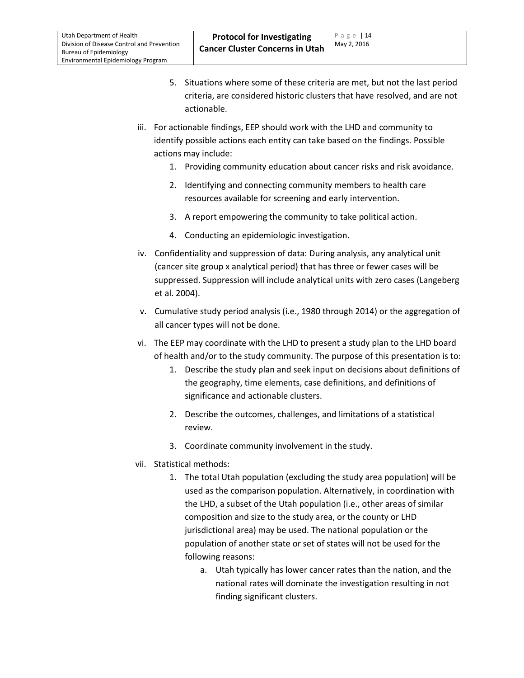- 5. Situations where some of these criteria are met, but not the last period criteria, are considered historic clusters that have resolved, and are not actionable.
- iii. For actionable findings, EEP should work with the LHD and community to identify possible actions each entity can take based on the findings. Possible actions may include:
	- 1. Providing community education about cancer risks and risk avoidance.
	- 2. Identifying and connecting community members to health care resources available for screening and early intervention.
	- 3. A report empowering the community to take political action.
	- 4. Conducting an epidemiologic investigation.
- iv. Confidentiality and suppression of data: During analysis, any analytical unit (cancer site group x analytical period) that has three or fewer cases will be suppressed. Suppression will include analytical units with zero cases (Langeberg et al. 2004).
- v. Cumulative study period analysis (i.e., 1980 through 2014) or the aggregation of all cancer types will not be done.
- vi. The EEP may coordinate with the LHD to present a study plan to the LHD board of health and/or to the study community. The purpose of this presentation is to:
	- 1. Describe the study plan and seek input on decisions about definitions of the geography, time elements, case definitions, and definitions of significance and actionable clusters.
	- 2. Describe the outcomes, challenges, and limitations of a statistical review.
	- 3. Coordinate community involvement in the study.
- vii. Statistical methods:
	- 1. The total Utah population (excluding the study area population) will be used as the comparison population. Alternatively, in coordination with the LHD, a subset of the Utah population (i.e., other areas of similar composition and size to the study area, or the county or LHD jurisdictional area) may be used. The national population or the population of another state or set of states will not be used for the following reasons:
		- a. Utah typically has lower cancer rates than the nation, and the national rates will dominate the investigation resulting in not finding significant clusters.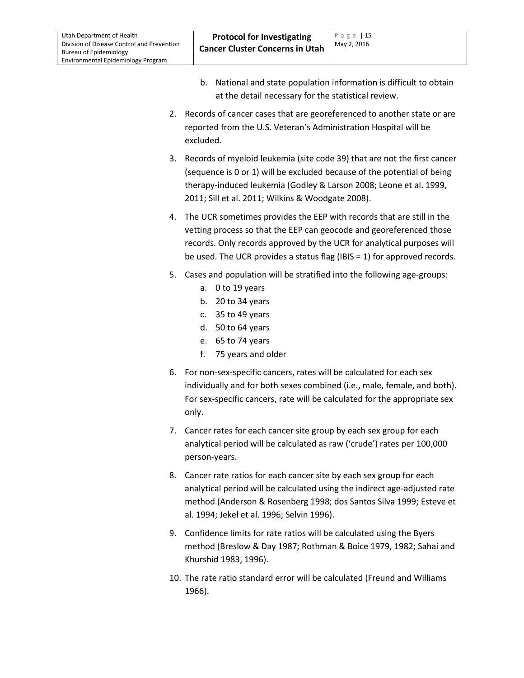- b. National and state population information is difficult to obtain at the detail necessary for the statistical review.
- 2. Records of cancer cases that are georeferenced to another state or are reported from the U.S. Veteran's Administration Hospital will be excluded.
- 3. Records of myeloid leukemia (site code 39) that are not the first cancer (sequence is 0 or 1) will be excluded because of the potential of being therapy-induced leukemia (Godley & Larson 2008; Leone et al. 1999, 2011; Sill et al. 2011; Wilkins & Woodgate 2008).
- 4. The UCR sometimes provides the EEP with records that are still in the vetting process so that the EEP can geocode and georeferenced those records. Only records approved by the UCR for analytical purposes will be used. The UCR provides a status flag (IBIS = 1) for approved records.
- 5. Cases and population will be stratified into the following age-groups:
	- a. 0 to 19 years
	- b. 20 to 34 years
	- c. 35 to 49 years
	- d. 50 to 64 years
	- e. 65 to 74 years
	- f. 75 years and older
- 6. For non-sex-specific cancers, rates will be calculated for each sex individually and for both sexes combined (i.e., male, female, and both). For sex-specific cancers, rate will be calculated for the appropriate sex only.
- 7. Cancer rates for each cancer site group by each sex group for each analytical period will be calculated as raw ('crude') rates per 100,000 person-years.
- 8. Cancer rate ratios for each cancer site by each sex group for each analytical period will be calculated using the indirect age-adjusted rate method (Anderson & Rosenberg 1998; dos Santos Silva 1999; Esteve et al. 1994; Jekel et al. 1996; Selvin 1996).
- 9. Confidence limits for rate ratios will be calculated using the Byers method (Breslow & Day 1987; Rothman & Boice 1979, 1982; Sahai and Khurshid 1983, 1996).
- 10. The rate ratio standard error will be calculated (Freund and Williams 1966).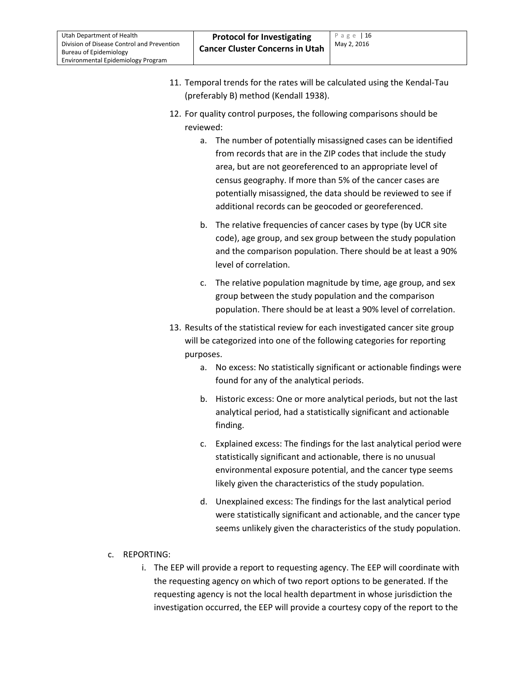- 11. Temporal trends for the rates will be calculated using the Kendal-Tau (preferably B) method (Kendall 1938).
- 12. For quality control purposes, the following comparisons should be reviewed:
	- a. The number of potentially misassigned cases can be identified from records that are in the ZIP codes that include the study area, but are not georeferenced to an appropriate level of census geography. If more than 5% of the cancer cases are potentially misassigned, the data should be reviewed to see if additional records can be geocoded or georeferenced.
	- b. The relative frequencies of cancer cases by type (by UCR site code), age group, and sex group between the study population and the comparison population. There should be at least a 90% level of correlation.
	- c. The relative population magnitude by time, age group, and sex group between the study population and the comparison population. There should be at least a 90% level of correlation.
- 13. Results of the statistical review for each investigated cancer site group will be categorized into one of the following categories for reporting purposes.
	- a. No excess: No statistically significant or actionable findings were found for any of the analytical periods.
	- b. Historic excess: One or more analytical periods, but not the last analytical period, had a statistically significant and actionable finding.
	- c. Explained excess: The findings for the last analytical period were statistically significant and actionable, there is no unusual environmental exposure potential, and the cancer type seems likely given the characteristics of the study population.
	- d. Unexplained excess: The findings for the last analytical period were statistically significant and actionable, and the cancer type seems unlikely given the characteristics of the study population.
- <span id="page-15-0"></span>c. REPORTING:
	- i. The EEP will provide a report to requesting agency. The EEP will coordinate with the requesting agency on which of two report options to be generated. If the requesting agency is not the local health department in whose jurisdiction the investigation occurred, the EEP will provide a courtesy copy of the report to the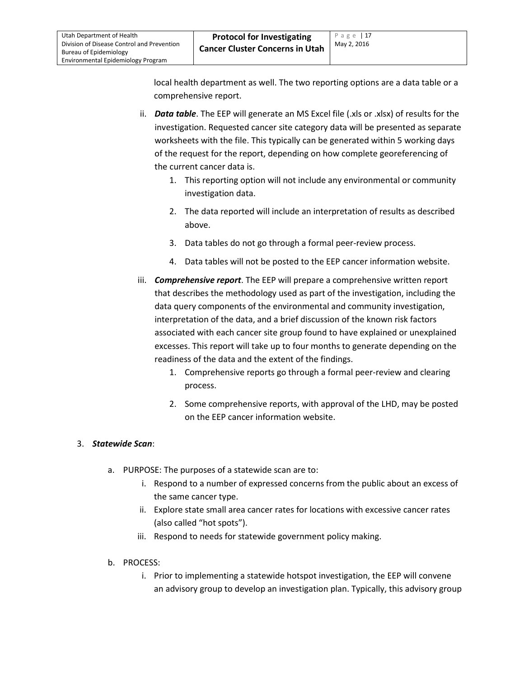local health department as well. The two reporting options are a data table or a comprehensive report.

- ii. *Data table*. The EEP will generate an MS Excel file (.xls or .xlsx) of results for the investigation. Requested cancer site category data will be presented as separate worksheets with the file. This typically can be generated within 5 working days of the request for the report, depending on how complete georeferencing of the current cancer data is.
	- 1. This reporting option will not include any environmental or community investigation data.
	- 2. The data reported will include an interpretation of results as described above.
	- 3. Data tables do not go through a formal peer-review process.
	- 4. Data tables will not be posted to the EEP cancer information website.
- iii. *Comprehensive report*. The EEP will prepare a comprehensive written report that describes the methodology used as part of the investigation, including the data query components of the environmental and community investigation, interpretation of the data, and a brief discussion of the known risk factors associated with each cancer site group found to have explained or unexplained excesses. This report will take up to four months to generate depending on the readiness of the data and the extent of the findings.
	- 1. Comprehensive reports go through a formal peer-review and clearing process.
	- 2. Some comprehensive reports, with approval of the LHD, may be posted on the EEP cancer information website.

#### <span id="page-16-1"></span><span id="page-16-0"></span>3. *Statewide Scan*:

- a. PURPOSE: The purposes of a statewide scan are to:
	- i. Respond to a number of expressed concerns from the public about an excess of the same cancer type.
	- ii. Explore state small area cancer rates for locations with excessive cancer rates (also called "hot spots").
	- iii. Respond to needs for statewide government policy making.
- <span id="page-16-2"></span>b. PROCESS:
	- i. Prior to implementing a statewide hotspot investigation, the EEP will convene an advisory group to develop an investigation plan. Typically, this advisory group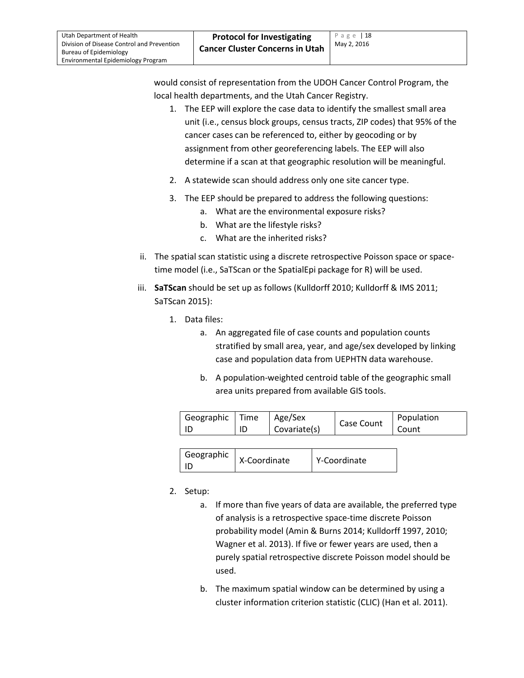would consist of representation from the UDOH Cancer Control Program, the local health departments, and the Utah Cancer Registry.

- 1. The EEP will explore the case data to identify the smallest small area unit (i.e., census block groups, census tracts, ZIP codes) that 95% of the cancer cases can be referenced to, either by geocoding or by assignment from other georeferencing labels. The EEP will also determine if a scan at that geographic resolution will be meaningful.
- 2. A statewide scan should address only one site cancer type.
- 3. The EEP should be prepared to address the following questions:
	- a. What are the environmental exposure risks?
	- b. What are the lifestyle risks?
	- c. What are the inherited risks?
- ii. The spatial scan statistic using a discrete retrospective Poisson space or spacetime model (i.e., SaTScan or the SpatialEpi package for R) will be used.
- iii. **SaTScan** should be set up as follows (Kulldorff 2010; Kulldorff & IMS 2011; SaTScan 2015):
	- 1. Data files:
		- a. An aggregated file of case counts and population counts stratified by small area, year, and age/sex developed by linking case and population data from UEPHTN data warehouse.
		- b. A population-weighted centroid table of the geographic small area units prepared from available GIS tools.

| Geographic Time | Age/Sex<br>Covariate(s) | Case Count | Population<br>Count |
|-----------------|-------------------------|------------|---------------------|
|                 |                         |            |                     |

| Geographic | X-Coordinate | Y-Coordinate |
|------------|--------------|--------------|
|------------|--------------|--------------|

- 2. Setup:
	- a. If more than five years of data are available, the preferred type of analysis is a retrospective space-time discrete Poisson probability model (Amin & Burns 2014; Kulldorff 1997, 2010; Wagner et al. 2013). If five or fewer years are used, then a purely spatial retrospective discrete Poisson model should be used.
	- b. The maximum spatial window can be determined by using a cluster information criterion statistic (CLIC) (Han et al. 2011).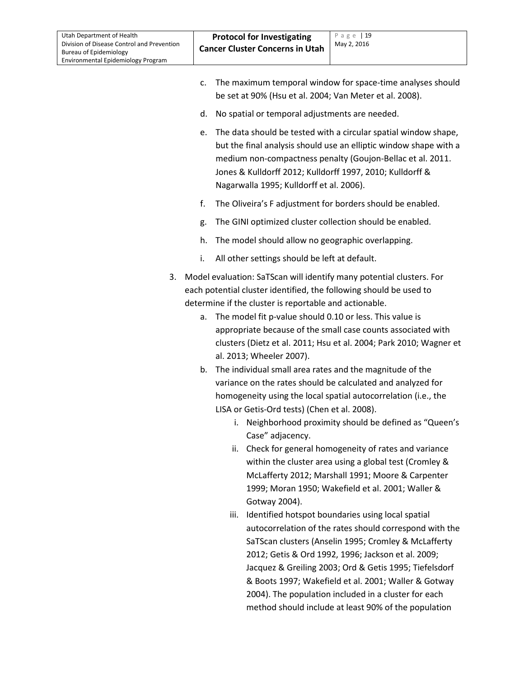- c. The maximum temporal window for space-time analyses should be set at 90% (Hsu et al. 2004; Van Meter et al. 2008).
- d. No spatial or temporal adjustments are needed.
- e. The data should be tested with a circular spatial window shape, but the final analysis should use an elliptic window shape with a medium non-compactness penalty (Goujon-Bellac et al. 2011. Jones & Kulldorff 2012; Kulldorff 1997, 2010; Kulldorff & Nagarwalla 1995; Kulldorff et al. 2006).
- f. The Oliveira's F adjustment for borders should be enabled.
- g. The GINI optimized cluster collection should be enabled.
- h. The model should allow no geographic overlapping.
- i. All other settings should be left at default.
- 3. Model evaluation: SaTScan will identify many potential clusters. For each potential cluster identified, the following should be used to determine if the cluster is reportable and actionable.
	- a. The model fit p-value should 0.10 or less. This value is appropriate because of the small case counts associated with clusters (Dietz et al. 2011; Hsu et al. 2004; Park 2010; Wagner et al. 2013; Wheeler 2007).
	- b. The individual small area rates and the magnitude of the variance on the rates should be calculated and analyzed for homogeneity using the local spatial autocorrelation (i.e., the LISA or Getis-Ord tests) (Chen et al. 2008).
		- i. Neighborhood proximity should be defined as "Queen's Case" adjacency.
		- ii. Check for general homogeneity of rates and variance within the cluster area using a global test (Cromley & McLafferty 2012; Marshall 1991; Moore & Carpenter 1999; Moran 1950; Wakefield et al. 2001; Waller & Gotway 2004).
		- iii. Identified hotspot boundaries using local spatial autocorrelation of the rates should correspond with the SaTScan clusters (Anselin 1995; Cromley & McLafferty 2012; Getis & Ord 1992, 1996; Jackson et al. 2009; Jacquez & Greiling 2003; Ord & Getis 1995; Tiefelsdorf & Boots 1997; Wakefield et al. 2001; Waller & Gotway 2004). The population included in a cluster for each method should include at least 90% of the population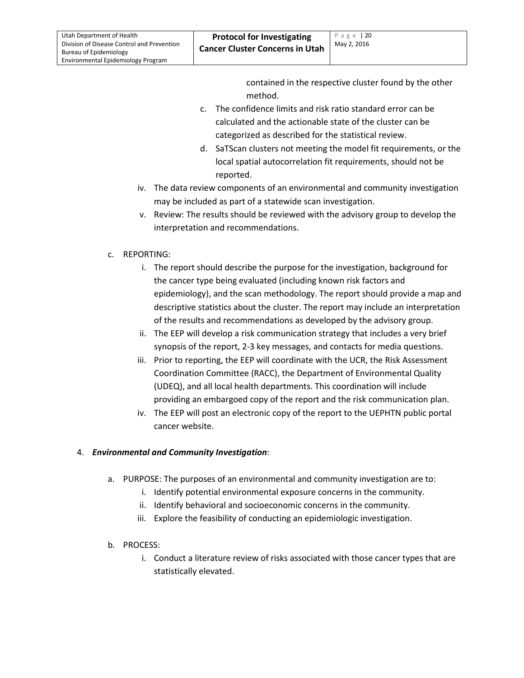contained in the respective cluster found by the other method.

- c. The confidence limits and risk ratio standard error can be calculated and the actionable state of the cluster can be categorized as described for the statistical review.
- d. SaTScan clusters not meeting the model fit requirements, or the local spatial autocorrelation fit requirements, should not be reported.
- iv. The data review components of an environmental and community investigation may be included as part of a statewide scan investigation.
- v. Review: The results should be reviewed with the advisory group to develop the interpretation and recommendations.

#### <span id="page-19-0"></span>c. REPORTING:

- i. The report should describe the purpose for the investigation, background for the cancer type being evaluated (including known risk factors and epidemiology), and the scan methodology. The report should provide a map and descriptive statistics about the cluster. The report may include an interpretation of the results and recommendations as developed by the advisory group.
- ii. The EEP will develop a risk communication strategy that includes a very brief synopsis of the report, 2-3 key messages, and contacts for media questions.
- iii. Prior to reporting, the EEP will coordinate with the UCR, the Risk Assessment Coordination Committee (RACC), the Department of Environmental Quality (UDEQ), and all local health departments. This coordination will include providing an embargoed copy of the report and the risk communication plan.
- iv. The EEP will post an electronic copy of the report to the UEPHTN public portal cancer website.

#### <span id="page-19-2"></span><span id="page-19-1"></span>4. *Environmental and Community Investigation*:

- a. PURPOSE: The purposes of an environmental and community investigation are to:
	- i. Identify potential environmental exposure concerns in the community.
	- ii. Identify behavioral and socioeconomic concerns in the community.
	- iii. Explore the feasibility of conducting an epidemiologic investigation.
- <span id="page-19-3"></span>b. PROCESS:
	- i. Conduct a literature review of risks associated with those cancer types that are statistically elevated.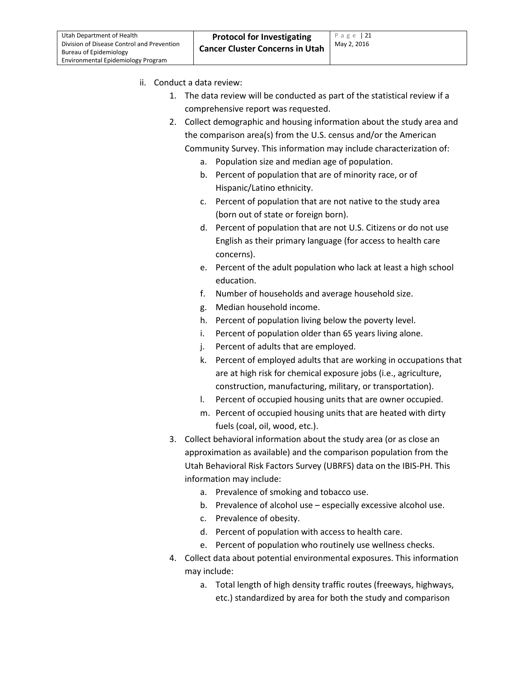- ii. Conduct a data review:
	- 1. The data review will be conducted as part of the statistical review if a comprehensive report was requested.
	- 2. Collect demographic and housing information about the study area and the comparison area(s) from the U.S. census and/or the American Community Survey. This information may include characterization of:
		- a. Population size and median age of population.
		- b. Percent of population that are of minority race, or of Hispanic/Latino ethnicity.
		- c. Percent of population that are not native to the study area (born out of state or foreign born).
		- d. Percent of population that are not U.S. Citizens or do not use English as their primary language (for access to health care concerns).
		- e. Percent of the adult population who lack at least a high school education.
		- f. Number of households and average household size.
		- g. Median household income.
		- h. Percent of population living below the poverty level.
		- i. Percent of population older than 65 years living alone.
		- j. Percent of adults that are employed.
		- k. Percent of employed adults that are working in occupations that are at high risk for chemical exposure jobs (i.e., agriculture, construction, manufacturing, military, or transportation).
		- l. Percent of occupied housing units that are owner occupied.
		- m. Percent of occupied housing units that are heated with dirty fuels (coal, oil, wood, etc.).
	- 3. Collect behavioral information about the study area (or as close an approximation as available) and the comparison population from the Utah Behavioral Risk Factors Survey (UBRFS) data on the IBIS-PH. This information may include:
		- a. Prevalence of smoking and tobacco use.
		- b. Prevalence of alcohol use especially excessive alcohol use.
		- c. Prevalence of obesity.
		- d. Percent of population with access to health care.
		- e. Percent of population who routinely use wellness checks.
	- 4. Collect data about potential environmental exposures. This information may include:
		- a. Total length of high density traffic routes (freeways, highways, etc.) standardized by area for both the study and comparison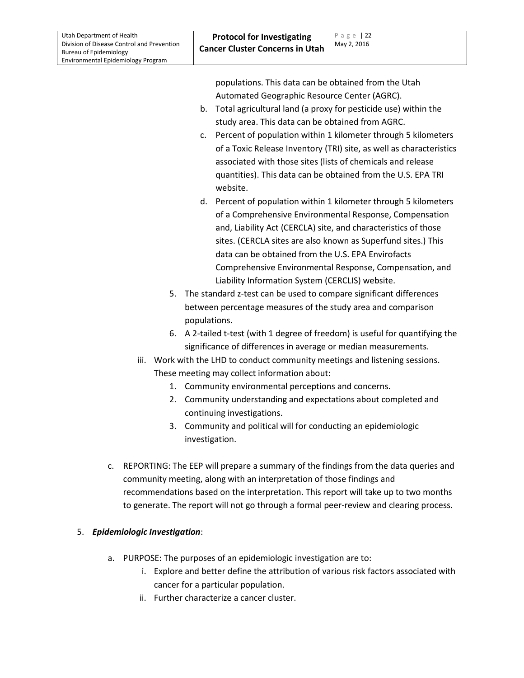populations. This data can be obtained from the Utah Automated Geographic Resource Center (AGRC).

- b. Total agricultural land (a proxy for pesticide use) within the study area. This data can be obtained from AGRC.
- c. Percent of population within 1 kilometer through 5 kilometers of a Toxic Release Inventory (TRI) site, as well as characteristics associated with those sites (lists of chemicals and release quantities). This data can be obtained from the U.S. EPA TRI website.
- d. Percent of population within 1 kilometer through 5 kilometers of a Comprehensive Environmental Response, Compensation and, Liability Act (CERCLA) site, and characteristics of those sites. (CERCLA sites are also known as Superfund sites.) This data can be obtained from the U.S. EPA Envirofacts Comprehensive Environmental Response, Compensation, and Liability Information System (CERCLIS) website.
- 5. The standard z-test can be used to compare significant differences between percentage measures of the study area and comparison populations.
- 6. A 2-tailed t-test (with 1 degree of freedom) is useful for quantifying the significance of differences in average or median measurements.
- iii. Work with the LHD to conduct community meetings and listening sessions. These meeting may collect information about:
	- 1. Community environmental perceptions and concerns.
	- 2. Community understanding and expectations about completed and continuing investigations.
	- 3. Community and political will for conducting an epidemiologic investigation.
- <span id="page-21-0"></span>c. REPORTING: The EEP will prepare a summary of the findings from the data queries and community meeting, along with an interpretation of those findings and recommendations based on the interpretation. This report will take up to two months to generate. The report will not go through a formal peer-review and clearing process.

#### <span id="page-21-2"></span><span id="page-21-1"></span>5. *Epidemiologic Investigation*:

- a. PURPOSE: The purposes of an epidemiologic investigation are to:
	- i. Explore and better define the attribution of various risk factors associated with cancer for a particular population.
	- ii. Further characterize a cancer cluster.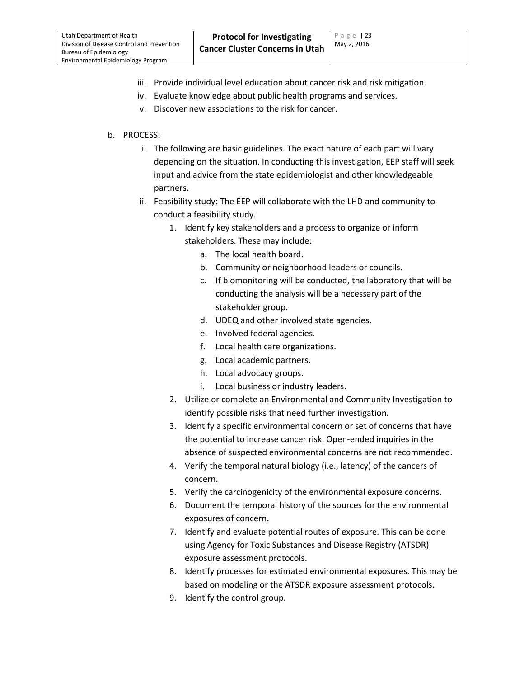- iii. Provide individual level education about cancer risk and risk mitigation.
- iv. Evaluate knowledge about public health programs and services.
- v. Discover new associations to the risk for cancer.

#### <span id="page-22-0"></span>b. PROCESS:

- i. The following are basic guidelines. The exact nature of each part will vary depending on the situation. In conducting this investigation, EEP staff will seek input and advice from the state epidemiologist and other knowledgeable partners.
- ii. Feasibility study: The EEP will collaborate with the LHD and community to conduct a feasibility study.
	- 1. Identify key stakeholders and a process to organize or inform stakeholders. These may include:
		- a. The local health board.
		- b. Community or neighborhood leaders or councils.
		- c. If biomonitoring will be conducted, the laboratory that will be conducting the analysis will be a necessary part of the stakeholder group.
		- d. UDEQ and other involved state agencies.
		- e. Involved federal agencies.
		- f. Local health care organizations.
		- g. Local academic partners.
		- h. Local advocacy groups.
		- i. Local business or industry leaders.
	- 2. Utilize or complete an Environmental and Community Investigation to identify possible risks that need further investigation.
	- 3. Identify a specific environmental concern or set of concerns that have the potential to increase cancer risk. Open-ended inquiries in the absence of suspected environmental concerns are not recommended.
	- 4. Verify the temporal natural biology (i.e., latency) of the cancers of concern.
	- 5. Verify the carcinogenicity of the environmental exposure concerns.
	- 6. Document the temporal history of the sources for the environmental exposures of concern.
	- 7. Identify and evaluate potential routes of exposure. This can be done using Agency for Toxic Substances and Disease Registry (ATSDR) exposure assessment protocols.
	- 8. Identify processes for estimated environmental exposures. This may be based on modeling or the ATSDR exposure assessment protocols.
	- 9. Identify the control group.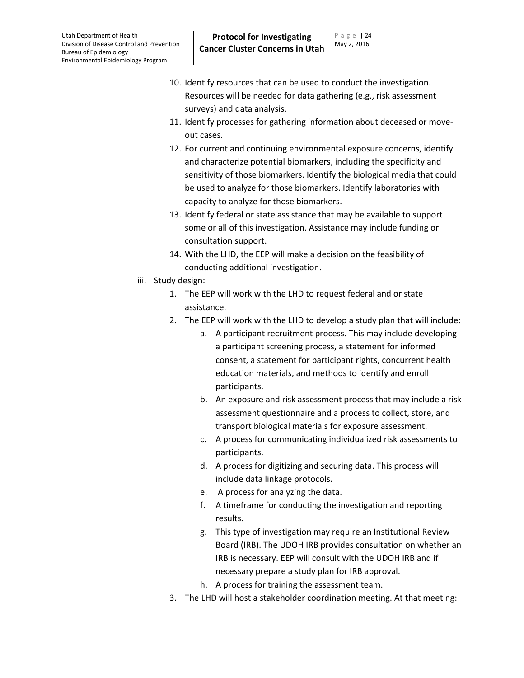- 10. Identify resources that can be used to conduct the investigation. Resources will be needed for data gathering (e.g., risk assessment surveys) and data analysis.
- 11. Identify processes for gathering information about deceased or moveout cases.
- 12. For current and continuing environmental exposure concerns, identify and characterize potential biomarkers, including the specificity and sensitivity of those biomarkers. Identify the biological media that could be used to analyze for those biomarkers. Identify laboratories with capacity to analyze for those biomarkers.
- 13. Identify federal or state assistance that may be available to support some or all of this investigation. Assistance may include funding or consultation support.
- 14. With the LHD, the EEP will make a decision on the feasibility of conducting additional investigation.
- iii. Study design:
	- 1. The EEP will work with the LHD to request federal and or state assistance.
	- 2. The EEP will work with the LHD to develop a study plan that will include:
		- a. A participant recruitment process. This may include developing a participant screening process, a statement for informed consent, a statement for participant rights, concurrent health education materials, and methods to identify and enroll participants.
		- b. An exposure and risk assessment process that may include a risk assessment questionnaire and a process to collect, store, and transport biological materials for exposure assessment.
		- c. A process for communicating individualized risk assessments to participants.
		- d. A process for digitizing and securing data. This process will include data linkage protocols.
		- e. A process for analyzing the data.
		- f. A timeframe for conducting the investigation and reporting results.
		- g. This type of investigation may require an Institutional Review Board (IRB). The UDOH IRB provides consultation on whether an IRB is necessary. EEP will consult with the UDOH IRB and if necessary prepare a study plan for IRB approval.
		- h. A process for training the assessment team.
	- 3. The LHD will host a stakeholder coordination meeting. At that meeting: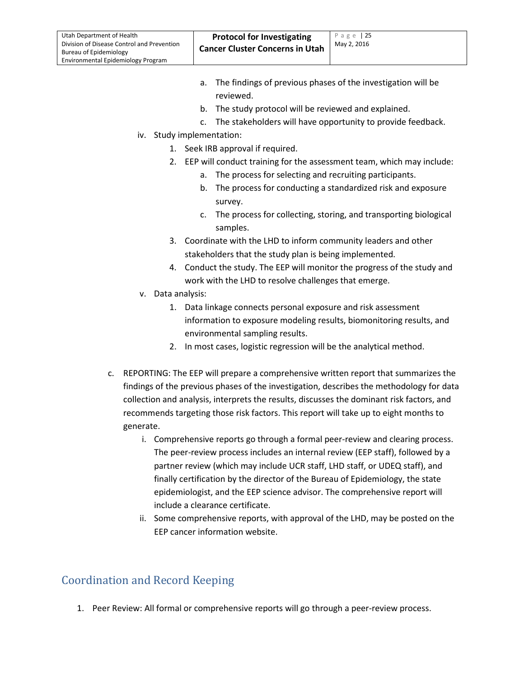- a. The findings of previous phases of the investigation will be reviewed.
- b. The study protocol will be reviewed and explained.
- c. The stakeholders will have opportunity to provide feedback.
- iv. Study implementation:
	- 1. Seek IRB approval if required.
	- 2. EEP will conduct training for the assessment team, which may include:
		- a. The process for selecting and recruiting participants.
		- b. The process for conducting a standardized risk and exposure survey.
		- c. The process for collecting, storing, and transporting biological samples.
	- 3. Coordinate with the LHD to inform community leaders and other stakeholders that the study plan is being implemented.
	- 4. Conduct the study. The EEP will monitor the progress of the study and work with the LHD to resolve challenges that emerge.
- v. Data analysis:
	- 1. Data linkage connects personal exposure and risk assessment information to exposure modeling results, biomonitoring results, and environmental sampling results.
	- 2. In most cases, logistic regression will be the analytical method.
- <span id="page-24-0"></span>c. REPORTING: The EEP will prepare a comprehensive written report that summarizes the findings of the previous phases of the investigation, describes the methodology for data collection and analysis, interprets the results, discusses the dominant risk factors, and recommends targeting those risk factors. This report will take up to eight months to generate.
	- i. Comprehensive reports go through a formal peer-review and clearing process. The peer-review process includes an internal review (EEP staff), followed by a partner review (which may include UCR staff, LHD staff, or UDEQ staff), and finally certification by the director of the Bureau of Epidemiology, the state epidemiologist, and the EEP science advisor. The comprehensive report will include a clearance certificate.
	- ii. Some comprehensive reports, with approval of the LHD, may be posted on the EEP cancer information website.

# <span id="page-24-1"></span>Coordination and Record Keeping

<span id="page-24-2"></span>1. Peer Review: All formal or comprehensive reports will go through a peer-review process.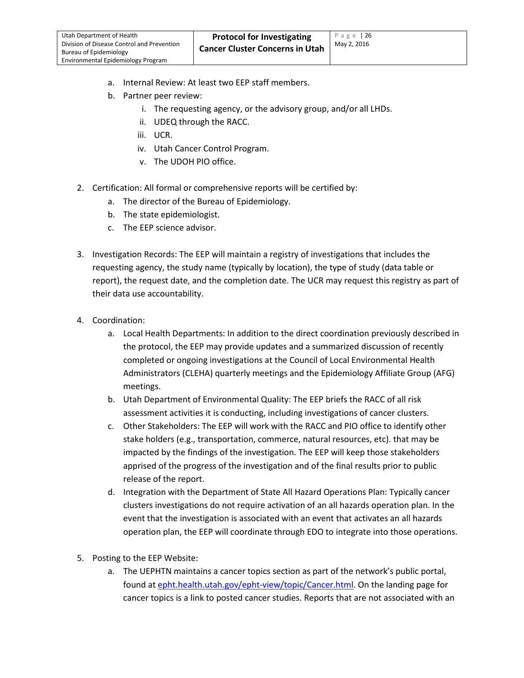- a. Internal Review: At least two EEP staff members.
- b. Partner peer review:
	- i. The requesting agency, or the advisory group, and/or all LHDs.
	- ii. UDEQ through the RACC.
	- iii. UCR.
	- iv. Utah Cancer Control Program.
	- v. The UDOH PIO office.
- <span id="page-25-0"></span>2. Certification: All formal or comprehensive reports will be certified by:
	- a. The director of the Bureau of Epidemiology.
	- b. The state epidemiologist.
	- c. The EEP science advisor.
- 3. Investigation Records: The EEP will maintain a registry of investigations that includes the requesting agency, the study name (typically by location), the type of study (data table or report), the request date, and the completion date. The UCR may request this registry as part of their data use accountability.
- <span id="page-25-1"></span>4. Coordination:
	- a. Local Health Departments: In addition to the direct coordination previously described in the protocol, the EEP may provide updates and a summarized discussion of recently completed or ongoing investigations at the Council of Local Environmental Health Administrators (CLEHA) quarterly meetings and the Epidemiology Affiliate Group (AFG) meetings.
	- b. Utah Department of Environmental Quality: The EEP briefs the RACC of all risk assessment activities it is conducting, including investigations of cancer clusters.
	- c. Other Stakeholders: The EEP will work with the RACC and PIO office to identify other stake holders (e.g., transportation, commerce, natural resources, etc). that may be impacted by the findings of the investigation. The EEP will keep those stakeholders apprised of the progress of the investigation and of the final results prior to public release of the report.
	- d. Integration with the Department of State All Hazard Operations Plan: Typically cancer clusters investigations do not require activation of an all hazards operation plan. In the event that the investigation is associated with an event that activates an all hazards operation plan, the EEP will coordinate through EDO to integrate into those operations.
- <span id="page-25-2"></span>5. Posting to the EEP Website:
	- a. The UEPHTN maintains a cancer topics section as part of the network's public portal, found at [epht.health.utah.gov/epht-view/topic/Cancer.html.](http://epht.health.utah.gov/epht-view/topic/Cancer.html) On the landing page for cancer topics is a link to posted cancer studies. Reports that are not associated with an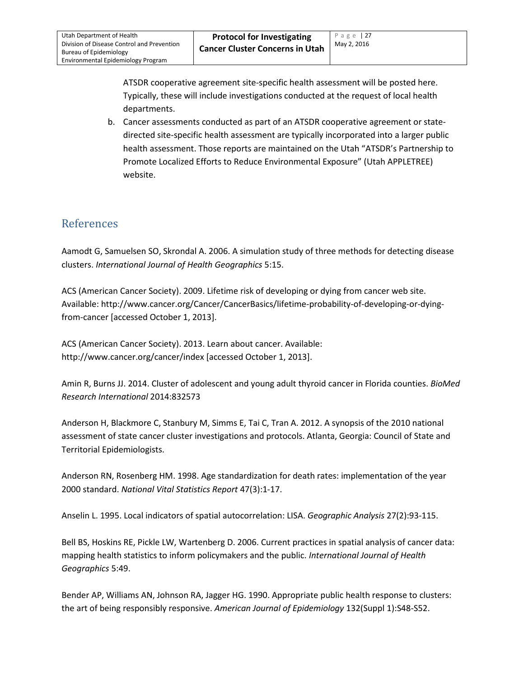ATSDR cooperative agreement site-specific health assessment will be posted here. Typically, these will include investigations conducted at the request of local health departments.

b. Cancer assessments conducted as part of an ATSDR cooperative agreement or statedirected site-specific health assessment are typically incorporated into a larger public health assessment. Those reports are maintained on the Utah "ATSDR's Partnership to Promote Localized Efforts to Reduce Environmental Exposure" (Utah APPLETREE) website.

### <span id="page-26-0"></span>References

Aamodt G, Samuelsen SO, Skrondal A. 2006. A simulation study of three methods for detecting disease clusters. *International Journal of Health Geographics* 5:15.

ACS (American Cancer Society). 2009. Lifetime risk of developing or dying from cancer web site. Available: http://www.cancer.org/Cancer/CancerBasics/lifetime-probability-of-developing-or-dyingfrom-cancer [accessed October 1, 2013].

ACS (American Cancer Society). 2013. Learn about cancer. Available: http://www.cancer.org/cancer/index [accessed October 1, 2013].

Amin R, Burns JJ. 2014. Cluster of adolescent and young adult thyroid cancer in Florida counties. *BioMed Research International* 2014:832573

Anderson H, Blackmore C, Stanbury M, Simms E, Tai C, Tran A. 2012. A synopsis of the 2010 national assessment of state cancer cluster investigations and protocols. Atlanta, Georgia: Council of State and Territorial Epidemiologists.

Anderson RN, Rosenberg HM. 1998. Age standardization for death rates: implementation of the year 2000 standard. *National Vital Statistics Report* 47(3):1-17.

Anselin L. 1995. Local indicators of spatial autocorrelation: LISA. *Geographic Analysis* 27(2):93-115.

Bell BS, Hoskins RE, Pickle LW, Wartenberg D. 2006. Current practices in spatial analysis of cancer data: mapping health statistics to inform policymakers and the public. *International Journal of Health Geographics* 5:49.

Bender AP, Williams AN, Johnson RA, Jagger HG. 1990. Appropriate public health response to clusters: the art of being responsibly responsive. *American Journal of Epidemiology* 132(Suppl 1):S48-S52.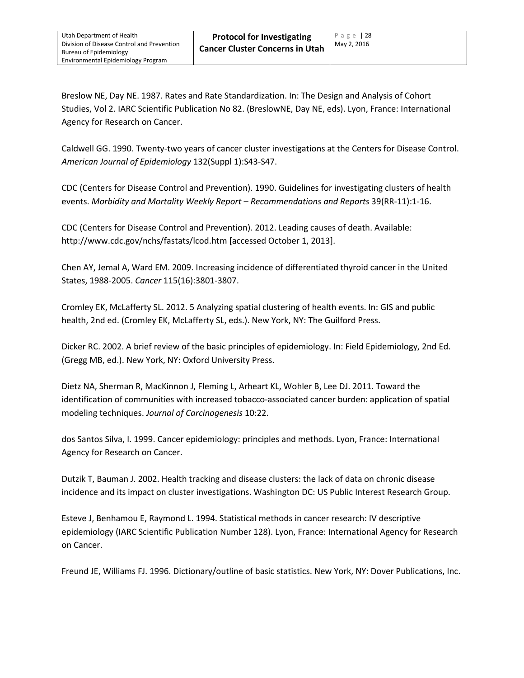Breslow NE, Day NE. 1987. Rates and Rate Standardization. In: The Design and Analysis of Cohort Studies, Vol 2. IARC Scientific Publication No 82. (BreslowNE, Day NE, eds). Lyon, France: International Agency for Research on Cancer.

Caldwell GG. 1990. Twenty-two years of cancer cluster investigations at the Centers for Disease Control. *American Journal of Epidemiology* 132(Suppl 1):S43-S47.

CDC (Centers for Disease Control and Prevention). 1990. Guidelines for investigating clusters of health events. *Morbidity and Mortality Weekly Report – Recommendations and Reports* 39(RR-11):1-16.

CDC (Centers for Disease Control and Prevention). 2012. Leading causes of death. Available: http://www.cdc.gov/nchs/fastats/lcod.htm [accessed October 1, 2013].

Chen AY, Jemal A, Ward EM. 2009. Increasing incidence of differentiated thyroid cancer in the United States, 1988-2005. *Cancer* 115(16):3801-3807.

Cromley EK, McLafferty SL. 2012. 5 Analyzing spatial clustering of health events. In: GIS and public health, 2nd ed. (Cromley EK, McLafferty SL, eds.). New York, NY: The Guilford Press.

Dicker RC. 2002. A brief review of the basic principles of epidemiology. In: Field Epidemiology, 2nd Ed. (Gregg MB, ed.). New York, NY: Oxford University Press.

Dietz NA, Sherman R, MacKinnon J, Fleming L, Arheart KL, Wohler B, Lee DJ. 2011. Toward the identification of communities with increased tobacco-associated cancer burden: application of spatial modeling techniques. *Journal of Carcinogenesis* 10:22.

dos Santos Silva, I. 1999. Cancer epidemiology: principles and methods. Lyon, France: International Agency for Research on Cancer.

Dutzik T, Bauman J. 2002. Health tracking and disease clusters: the lack of data on chronic disease incidence and its impact on cluster investigations. Washington DC: US Public Interest Research Group.

Esteve J, Benhamou E, Raymond L. 1994. Statistical methods in cancer research: IV descriptive epidemiology (IARC Scientific Publication Number 128). Lyon, France: International Agency for Research on Cancer.

Freund JE, Williams FJ. 1996. Dictionary/outline of basic statistics. New York, NY: Dover Publications, Inc.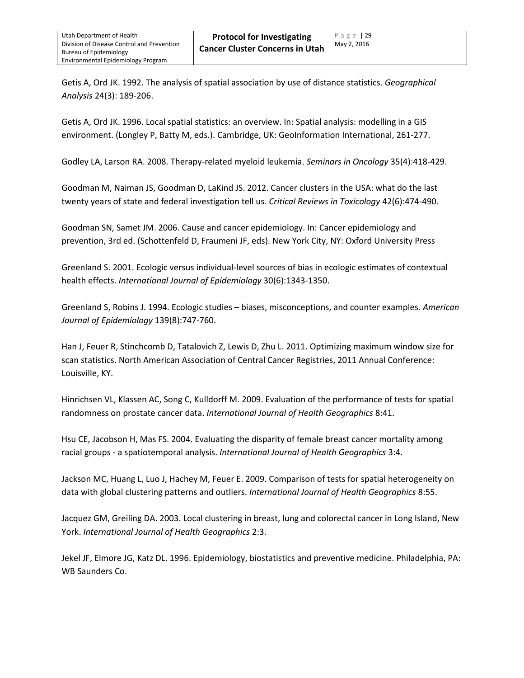Getis A, Ord JK. 1992. The analysis of spatial association by use of distance statistics. *Geographical Analysis* 24(3): 189-206.

Getis A, Ord JK. 1996. Local spatial statistics: an overview. In: Spatial analysis: modelling in a GIS environment. (Longley P, Batty M, eds.). Cambridge, UK: GeoInformation International, 261-277.

Godley LA, Larson RA. 2008. Therapy-related myeloid leukemia. *Seminars in Oncology* 35(4):418-429.

Goodman M, Naiman JS, Goodman D, LaKind JS. 2012. Cancer clusters in the USA: what do the last twenty years of state and federal investigation tell us. *Critical Reviews in Toxicology* 42(6):474-490.

Goodman SN, Samet JM. 2006. Cause and cancer epidemiology. In: Cancer epidemiology and prevention, 3rd ed. (Schottenfeld D, Fraumeni JF, eds). New York City, NY: Oxford University Press

Greenland S. 2001. Ecologic versus individual-level sources of bias in ecologic estimates of contextual health effects. *International Journal of Epidemiology* 30(6):1343-1350.

Greenland S, Robins J. 1994. Ecologic studies – biases, misconceptions, and counter examples. *American Journal of Epidemiology* 139(8):747-760.

Han J, Feuer R, Stinchcomb D, Tatalovich Z, Lewis D, Zhu L. 2011. Optimizing maximum window size for scan statistics. North American Association of Central Cancer Registries, 2011 Annual Conference: Louisville, KY.

Hinrichsen VL, Klassen AC, Song C, Kulldorff M. 2009. Evaluation of the performance of tests for spatial randomness on prostate cancer data. *International Journal of Health Geographics* 8:41.

Hsu CE, Jacobson H, Mas FS. 2004. Evaluating the disparity of female breast cancer mortality among racial groups - a spatiotemporal analysis. *International Journal of Health Geographics* 3:4.

Jackson MC, Huang L, Luo J, Hachey M, Feuer E. 2009. Comparison of tests for spatial heterogeneity on data with global clustering patterns and outliers. *International Journal of Health Geographics* 8:55.

Jacquez GM, Greiling DA. 2003. Local clustering in breast, lung and colorectal cancer in Long Island, New York. *International Journal of Health Geographics* 2:3.

Jekel JF, Elmore JG, Katz DL. 1996. Epidemiology, biostatistics and preventive medicine. Philadelphia, PA: WB Saunders Co.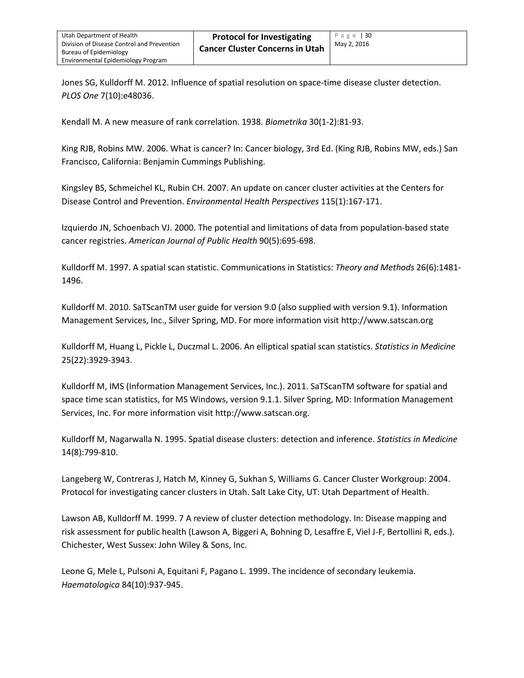Jones SG, Kulldorff M. 2012. Influence of spatial resolution on space-time disease cluster detection. *PLOS One* 7(10):e48036.

Kendall M. A new measure of rank correlation. 1938. *Biometrika* 30(1-2):81-93.

King RJB, Robins MW. 2006. What is cancer? In: Cancer biology, 3rd Ed. (King RJB, Robins MW, eds.) San Francisco, California: Benjamin Cummings Publishing.

Kingsley BS, Schmeichel KL, Rubin CH. 2007. An update on cancer cluster activities at the Centers for Disease Control and Prevention. *Environmental Health Perspectives* 115(1):167-171.

Izquierdo JN, Schoenbach VJ. 2000. The potential and limitations of data from population-based state cancer registries. *American Journal of Public Health* 90(5):695-698.

Kulldorff M. 1997. A spatial scan statistic. Communications in Statistics: *Theory and Methods* 26(6):1481- 1496.

Kulldorff M. 2010. SaTScanTM user guide for version 9.0 (also supplied with version 9.1). Information Management Services, Inc., Silver Spring, MD. For more information visit http://www.satscan.org

Kulldorff M, Huang L, Pickle L, Duczmal L. 2006. An elliptical spatial scan statistics. *Statistics in Medicine*  25(22):3929-3943.

Kulldorff M, IMS (Information Management Services, Inc.). 2011. SaTScanTM software for spatial and space time scan statistics, for MS Windows, version 9.1.1. Silver Spring, MD: Information Management Services, Inc. For more information visit http://www.satscan.org.

Kulldorff M, Nagarwalla N. 1995. Spatial disease clusters: detection and inference. *Statistics in Medicine*  14(8):799-810.

Langeberg W, Contreras J, Hatch M, Kinney G, Sukhan S, Williams G. Cancer Cluster Workgroup: 2004. Protocol for investigating cancer clusters in Utah. Salt Lake City, UT: Utah Department of Health.

Lawson AB, Kulldorff M. 1999. 7 A review of cluster detection methodology. In: Disease mapping and risk assessment for public health (Lawson A, Biggeri A, Bohning D, Lesaffre E, Viel J-F, Bertollini R, eds.). Chichester, West Sussex: John Wiley & Sons, Inc.

Leone G, Mele L, Pulsoni A, Equitani F, Pagano L. 1999. The incidence of secondary leukemia. *Haematologica* 84(10):937-945.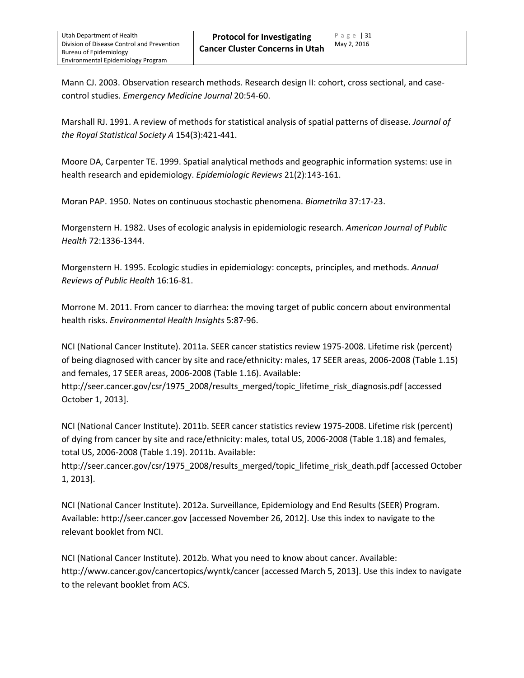Mann CJ. 2003. Observation research methods. Research design II: cohort, cross sectional, and casecontrol studies. *Emergency Medicine Journal* 20:54-60.

Marshall RJ. 1991. A review of methods for statistical analysis of spatial patterns of disease. *Journal of the Royal Statistical Society A* 154(3):421-441.

Moore DA, Carpenter TE. 1999. Spatial analytical methods and geographic information systems: use in health research and epidemiology. *Epidemiologic Reviews* 21(2):143-161.

Moran PAP. 1950. Notes on continuous stochastic phenomena. *Biometrika* 37:17-23.

Morgenstern H. 1982. Uses of ecologic analysis in epidemiologic research. *American Journal of Public Health* 72:1336-1344.

Morgenstern H. 1995. Ecologic studies in epidemiology: concepts, principles, and methods. *Annual Reviews of Public Health* 16:16-81.

Morrone M. 2011. From cancer to diarrhea: the moving target of public concern about environmental health risks. *Environmental Health Insights* 5:87-96.

NCI (National Cancer Institute). 2011a. SEER cancer statistics review 1975-2008. Lifetime risk (percent) of being diagnosed with cancer by site and race/ethnicity: males, 17 SEER areas, 2006-2008 (Table 1.15) and females, 17 SEER areas, 2006-2008 (Table 1.16). Available: http://seer.cancer.gov/csr/1975\_2008/results\_merged/topic\_lifetime\_risk\_diagnosis.pdf [accessed October 1, 2013].

NCI (National Cancer Institute). 2011b. SEER cancer statistics review 1975-2008. Lifetime risk (percent) of dying from cancer by site and race/ethnicity: males, total US, 2006-2008 (Table 1.18) and females, total US, 2006-2008 (Table 1.19). 2011b. Available:

http://seer.cancer.gov/csr/1975\_2008/results\_merged/topic\_lifetime\_risk\_death.pdf [accessed October 1, 2013].

NCI (National Cancer Institute). 2012a. Surveillance, Epidemiology and End Results (SEER) Program. Available: http://seer.cancer.gov [accessed November 26, 2012]. Use this index to navigate to the relevant booklet from NCI.

NCI (National Cancer Institute). 2012b. What you need to know about cancer. Available: http://www.cancer.gov/cancertopics/wyntk/cancer [accessed March 5, 2013]. Use this index to navigate to the relevant booklet from ACS.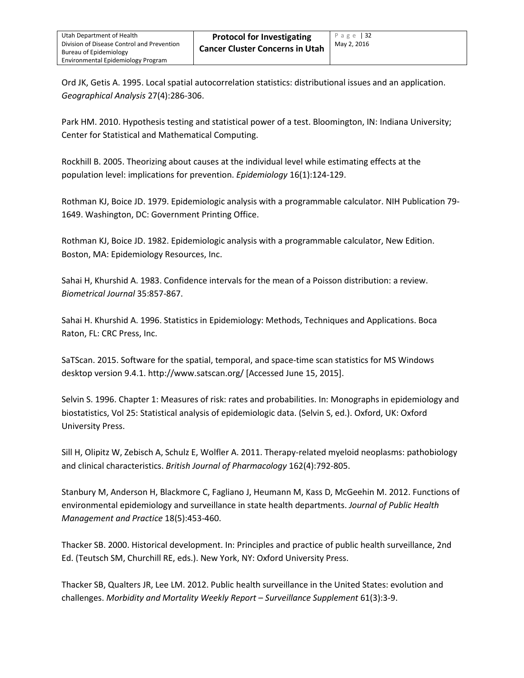Ord JK, Getis A. 1995. Local spatial autocorrelation statistics: distributional issues and an application. *Geographical Analysis* 27(4):286-306.

Park HM. 2010. Hypothesis testing and statistical power of a test. Bloomington, IN: Indiana University; Center for Statistical and Mathematical Computing.

Rockhill B. 2005. Theorizing about causes at the individual level while estimating effects at the population level: implications for prevention. *Epidemiology* 16(1):124-129.

Rothman KJ, Boice JD. 1979. Epidemiologic analysis with a programmable calculator. NIH Publication 79- 1649. Washington, DC: Government Printing Office.

Rothman KJ, Boice JD. 1982. Epidemiologic analysis with a programmable calculator, New Edition. Boston, MA: Epidemiology Resources, Inc.

Sahai H, Khurshid A. 1983. Confidence intervals for the mean of a Poisson distribution: a review. *Biometrical Journal* 35:857-867.

Sahai H. Khurshid A. 1996. Statistics in Epidemiology: Methods, Techniques and Applications. Boca Raton, FL: CRC Press, Inc.

SaTScan. 2015. Software for the spatial, temporal, and space-time scan statistics for MS Windows desktop version 9.4.1. http://www.satscan.org/ [Accessed June 15, 2015].

Selvin S. 1996. Chapter 1: Measures of risk: rates and probabilities. In: Monographs in epidemiology and biostatistics, Vol 25: Statistical analysis of epidemiologic data. (Selvin S, ed.). Oxford, UK: Oxford University Press.

Sill H, Olipitz W, Zebisch A, Schulz E, Wolfler A. 2011. Therapy-related myeloid neoplasms: pathobiology and clinical characteristics. *British Journal of Pharmacology* 162(4):792-805.

Stanbury M, Anderson H, Blackmore C, Fagliano J, Heumann M, Kass D, McGeehin M. 2012. Functions of environmental epidemiology and surveillance in state health departments. *Journal of Public Health Management and Practice* 18(5):453-460.

Thacker SB. 2000. Historical development. In: Principles and practice of public health surveillance, 2nd Ed. (Teutsch SM, Churchill RE, eds.). New York, NY: Oxford University Press.

Thacker SB, Qualters JR, Lee LM. 2012. Public health surveillance in the United States: evolution and challenges. *Morbidity and Mortality Weekly Report – Surveillance Supplement* 61(3):3-9.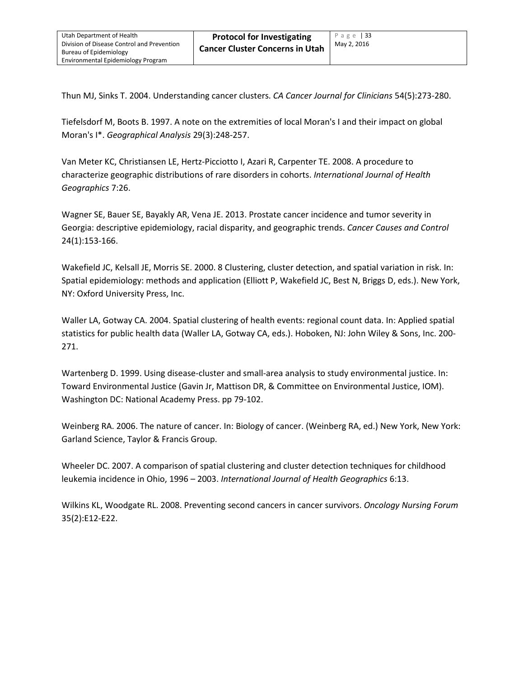Thun MJ, Sinks T. 2004. Understanding cancer clusters. *CA Cancer Journal for Clinicians* 54(5):273-280.

Tiefelsdorf M, Boots B. 1997. A note on the extremities of local Moran's I and their impact on global Moran's I\*. *Geographical Analysis* 29(3):248-257.

Van Meter KC, Christiansen LE, Hertz-Picciotto I, Azari R, Carpenter TE. 2008. A procedure to characterize geographic distributions of rare disorders in cohorts. *International Journal of Health Geographics* 7:26.

Wagner SE, Bauer SE, Bayakly AR, Vena JE. 2013. Prostate cancer incidence and tumor severity in Georgia: descriptive epidemiology, racial disparity, and geographic trends. *Cancer Causes and Control* 24(1):153-166.

Wakefield JC, Kelsall JE, Morris SE. 2000. 8 Clustering, cluster detection, and spatial variation in risk. In: Spatial epidemiology: methods and application (Elliott P, Wakefield JC, Best N, Briggs D, eds.). New York, NY: Oxford University Press, Inc.

Waller LA, Gotway CA. 2004. Spatial clustering of health events: regional count data. In: Applied spatial statistics for public health data (Waller LA, Gotway CA, eds.). Hoboken, NJ: John Wiley & Sons, Inc. 200- 271.

Wartenberg D. 1999. Using disease-cluster and small-area analysis to study environmental justice. In: Toward Environmental Justice (Gavin Jr, Mattison DR, & Committee on Environmental Justice, IOM). Washington DC: National Academy Press. pp 79-102.

Weinberg RA. 2006. The nature of cancer. In: Biology of cancer. (Weinberg RA, ed.) New York, New York: Garland Science, Taylor & Francis Group.

Wheeler DC. 2007. A comparison of spatial clustering and cluster detection techniques for childhood leukemia incidence in Ohio, 1996 – 2003. *International Journal of Health Geographics* 6:13.

Wilkins KL, Woodgate RL. 2008. Preventing second cancers in cancer survivors. *Oncology Nursing Forum*  35(2):E12-E22.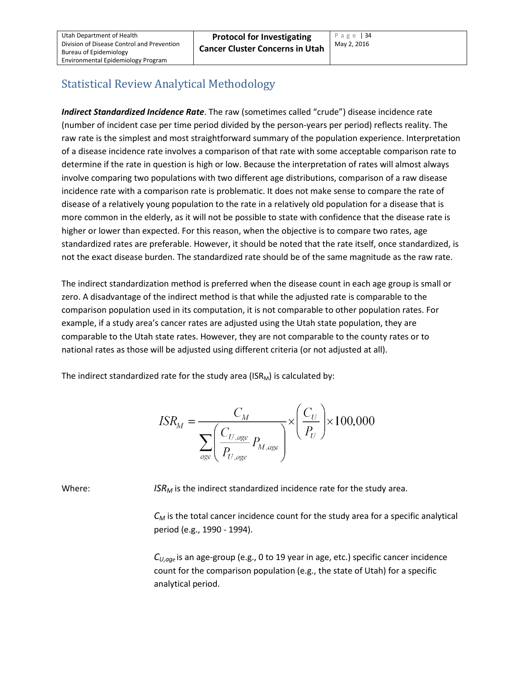### <span id="page-33-0"></span>Statistical Review Analytical Methodology

*Indirect Standardized Incidence Rate*. The raw (sometimes called "crude") disease incidence rate (number of incident case per time period divided by the person-years per period) reflects reality. The raw rate is the simplest and most straightforward summary of the population experience. Interpretation of a disease incidence rate involves a comparison of that rate with some acceptable comparison rate to determine if the rate in question is high or low. Because the interpretation of rates will almost always involve comparing two populations with two different age distributions, comparison of a raw disease incidence rate with a comparison rate is problematic. It does not make sense to compare the rate of disease of a relatively young population to the rate in a relatively old population for a disease that is more common in the elderly, as it will not be possible to state with confidence that the disease rate is higher or lower than expected. For this reason, when the objective is to compare two rates, age standardized rates are preferable. However, it should be noted that the rate itself, once standardized, is not the exact disease burden. The standardized rate should be of the same magnitude as the raw rate.

The indirect standardization method is preferred when the disease count in each age group is small or zero. A disadvantage of the indirect method is that while the adjusted rate is comparable to the comparison population used in its computation, it is not comparable to other population rates. For example, if a study area's cancer rates are adjusted using the Utah state population, they are comparable to the Utah state rates. However, they are not comparable to the county rates or to national rates as those will be adjusted using different criteria (or not adjusted at all).

The indirect standardized rate for the study area (ISR<sub>M</sub>) is calculated by:

$$
ISR_M = \frac{C_M}{\sum_{age} \left(\frac{C_{U,age}}{P_{U,age}} P_{M,age}\right)} \times \left(\frac{C_U}{P_U}\right) \times 100,000
$$

Where:  $ISR_M$  is the indirect standardized incidence rate for the study area.

*CM* is the total cancer incidence count for the study area for a specific analytical period (e.g., 1990 - 1994).

*CU,age* is an age-group (e.g., 0 to 19 year in age, etc.) specific cancer incidence count for the comparison population (e.g., the state of Utah) for a specific analytical period.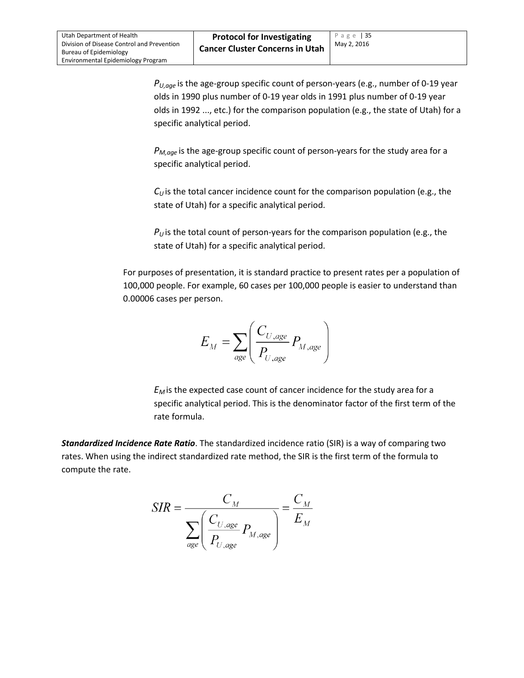*P<sub>U,age</sub>* is the age-group specific count of person-years (e.g., number of 0-19 year olds in 1990 plus number of 0-19 year olds in 1991 plus number of 0-19 year olds in 1992 ..., etc.) for the comparison population (e.g., the state of Utah) for a specific analytical period.

*PM,age* is the age-group specific count of person-years for the study area for a specific analytical period.

 $C_U$  is the total cancer incidence count for the comparison population (e.g., the state of Utah) for a specific analytical period.

 $P_U$  is the total count of person-years for the comparison population (e.g., the state of Utah) for a specific analytical period.

For purposes of presentation, it is standard practice to present rates per a population of 100,000 people. For example, 60 cases per 100,000 people is easier to understand than 0.00006 cases per person.

$$
E_M = \sum_{age} \left( \frac{C_{U,age}}{P_{U,age}} P_{M,age} \right)
$$

*EM* is the expected case count of cancer incidence for the study area for a specific analytical period. This is the denominator factor of the first term of the rate formula.

*Standardized Incidence Rate Ratio*. The standardized incidence ratio (SIR) is a way of comparing two rates. When using the indirect standardized rate method, the SIR is the first term of the formula to compute the rate.

$$
SIR = \frac{C_M}{\sum_{age} \left(\frac{C_{U,age}}{P_{U,age}} P_{M,age}\right)} = \frac{C_M}{E_M}
$$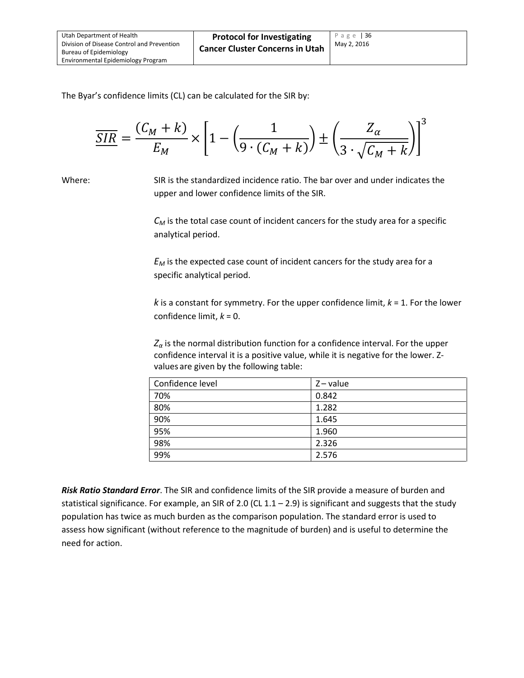The Byar's confidence limits (CL) can be calculated for the SIR by:

$$
\frac{\overline{SIR}}{SIR} = \frac{(C_M + k)}{E_M} \times \left[1 - \left(\frac{1}{9 \cdot (C_M + k)}\right) \pm \left(\frac{Z_\alpha}{3 \cdot \sqrt{C_M + k}}\right)\right]^3
$$

Where: SIR is the standardized incidence ratio. The bar over and under indicates the upper and lower confidence limits of the SIR.

> *CM* is the total case count of incident cancers for the study area for a specific analytical period.

*EM* is the expected case count of incident cancers for the study area for a specific analytical period.

*k* is a constant for symmetry. For the upper confidence limit, *k* = 1. For the lower confidence limit, *k* = 0.

 $Z_{\alpha}$  is the normal distribution function for a confidence interval. For the upper confidence interval it is a positive value, while it is negative for the lower. Zvalues are given by the following table:

| Confidence level | $Z$ – value |
|------------------|-------------|
| 70%              | 0.842       |
| 80%              | 1.282       |
| 90%              | 1.645       |
| 95%              | 1.960       |
| 98%              | 2.326       |
| 99%              | 2.576       |

*Risk Ratio Standard Error*. The SIR and confidence limits of the SIR provide a measure of burden and statistical significance. For example, an SIR of 2.0 (CL 1.1 – 2.9) is significant and suggests that the study population has twice as much burden as the comparison population. The standard error is used to assess how significant (without reference to the magnitude of burden) and is useful to determine the need for action.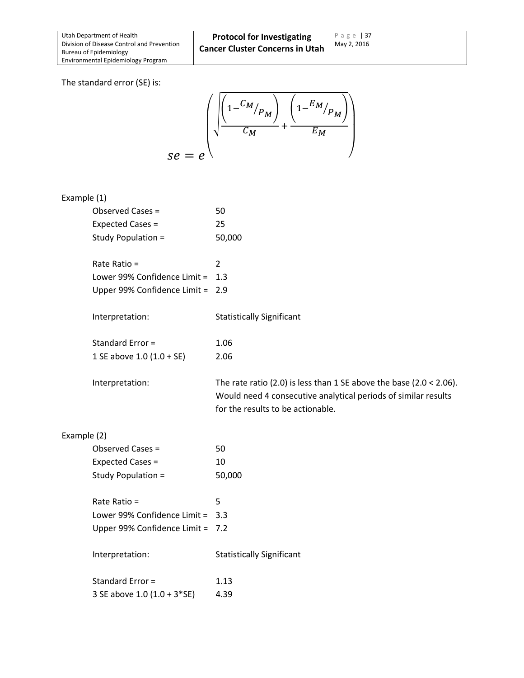The standard error (SE) is:

$$
se = e^{\left(\sqrt{\frac{\left(1 - \frac{C_M}{P_M}\right)}{C_M} + \frac{\left(1 - \frac{E_M}{P_M}\right)}{E_M}\right)}}
$$

#### Example (1)

|             | Observed Cases =                 | 50                                                                  |
|-------------|----------------------------------|---------------------------------------------------------------------|
|             | <b>Expected Cases =</b>          | 25                                                                  |
|             | Study Population =               | 50,000                                                              |
|             |                                  |                                                                     |
|             | Rate Ratio =                     | $\overline{2}$                                                      |
|             | Lower 99% Confidence Limit =     | 1.3                                                                 |
|             | Upper 99% Confidence Limit = 2.9 |                                                                     |
|             |                                  |                                                                     |
|             | Interpretation:                  | <b>Statistically Significant</b>                                    |
|             | Standard Error =                 | 1.06                                                                |
|             | 1 SE above $1.0 (1.0 + SE)$      | 2.06                                                                |
|             |                                  |                                                                     |
|             | Interpretation:                  | The rate ratio (2.0) is less than 1 SE above the base (2.0 < 2.06). |
|             |                                  | Would need 4 consecutive analytical periods of similar results      |
|             |                                  |                                                                     |
|             |                                  | for the results to be actionable.                                   |
|             |                                  |                                                                     |
| Example (2) |                                  |                                                                     |
|             | Observed Cases =                 | 50                                                                  |
|             | Expected Cases =                 | 10                                                                  |
|             | Study Population =               | 50,000                                                              |
|             |                                  |                                                                     |
|             | Rate Ratio =                     | 5                                                                   |
|             | Lower 99% Confidence Limit =     | 3.3                                                                 |
|             | Upper 99% Confidence Limit = 7.2 |                                                                     |
|             |                                  |                                                                     |
|             | Interpretation:                  | <b>Statistically Significant</b>                                    |
|             | Standard Error =                 | 1.13                                                                |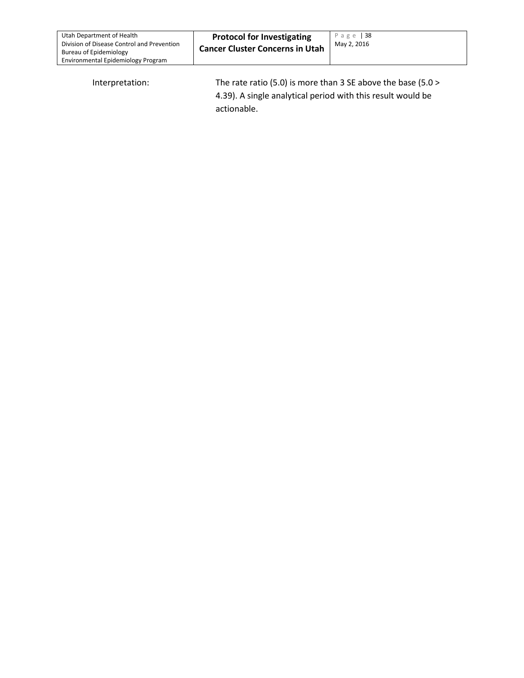| Utah Department of Health<br>Division of Disease Control and Prevention<br>Bureau of Epidemiology<br>Environmental Epidemiology Program | <b>Protocol for Investigating</b><br><b>Cancer Cluster Concerns in Utah</b> | Page   38<br>May 2, 2016 |
|-----------------------------------------------------------------------------------------------------------------------------------------|-----------------------------------------------------------------------------|--------------------------|
|                                                                                                                                         |                                                                             |                          |

Interpretation: The rate ratio (5.0) is more than 3 SE above the base (5.0 > 4.39). A single analytical period with this result would be actionable.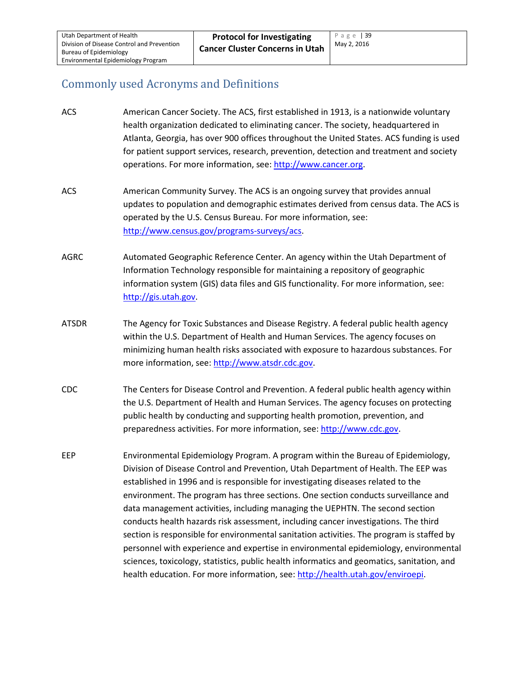### <span id="page-38-0"></span>Commonly used Acronyms and Definitions

- ACS American Cancer Society. The ACS, first established in 1913, is a nationwide voluntary health organization dedicated to eliminating cancer. The society, headquartered in Atlanta, Georgia, has over 900 offices throughout the United States. ACS funding is used for patient support services, research, prevention, detection and treatment and society operations. For more information, see: [http://www.cancer.org.](http://www.cancer.org/)
- ACS American Community Survey. The ACS is an ongoing survey that provides annual updates to population and demographic estimates derived from census data. The ACS is operated by the U.S. Census Bureau. For more information, see: [http://www.census.gov/programs-surveys/acs.](http://www.census.gov/programs-surveys/acs)
- AGRC Automated Geographic Reference Center. An agency within the Utah Department of Information Technology responsible for maintaining a repository of geographic information system (GIS) data files and GIS functionality. For more information, see: [http://gis.utah.gov.](http://gis.utah.gov/)
- ATSDR The Agency for Toxic Substances and Disease Registry. A federal public health agency within the U.S. Department of Health and Human Services. The agency focuses on minimizing human health risks associated with exposure to hazardous substances. For more information, see[: http://www.atsdr.cdc.gov.](http://www.atsdr.cdc.gov/)
- CDC The Centers for Disease Control and Prevention. A federal public health agency within the U.S. Department of Health and Human Services. The agency focuses on protecting public health by conducting and supporting health promotion, prevention, and preparedness activities. For more information, see: [http://www.cdc.gov.](http://www.cdc.gov/)
- EEP Environmental Epidemiology Program. A program within the Bureau of Epidemiology, Division of Disease Control and Prevention, Utah Department of Health. The EEP was established in 1996 and is responsible for investigating diseases related to the environment. The program has three sections. One section conducts surveillance and data management activities, including managing the UEPHTN. The second section conducts health hazards risk assessment, including cancer investigations. The third section is responsible for environmental sanitation activities. The program is staffed by personnel with experience and expertise in environmental epidemiology, environmental sciences, toxicology, statistics, public health informatics and geomatics, sanitation, and health education. For more information, see[: http://health.utah.gov/enviroepi.](http://health.utah.gov/enviroepi)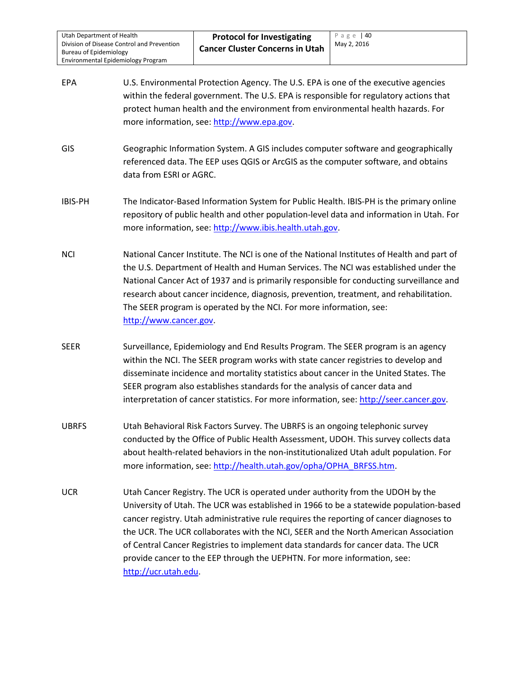- EPA U.S. Environmental Protection Agency. The U.S. EPA is one of the executive agencies within the federal government. The U.S. EPA is responsible for regulatory actions that protect human health and the environment from environmental health hazards. For more information, see: [http://www.epa.gov.](http://www.epa.gov/)
- GIS Geographic Information System. A GIS includes computer software and geographically referenced data. The EEP uses QGIS or ArcGIS as the computer software, and obtains data from ESRI or AGRC.
- IBIS-PH The Indicator-Based Information System for Public Health. IBIS-PH is the primary online repository of public health and other population-level data and information in Utah. For more information, see[: http://www.ibis.health.utah.gov.](http://www.ibis.health.utah.gov/)
- NCI National Cancer Institute. The NCI is one of the National Institutes of Health and part of the U.S. Department of Health and Human Services. The NCI was established under the National Cancer Act of 1937 and is primarily responsible for conducting surveillance and research about cancer incidence, diagnosis, prevention, treatment, and rehabilitation. The SEER program is operated by the NCI. For more information, see: [http://www.cancer.gov.](http://www.cancer.gov/)
- SEER Surveillance, Epidemiology and End Results Program. The SEER program is an agency within the NCI. The SEER program works with state cancer registries to develop and disseminate incidence and mortality statistics about cancer in the United States. The SEER program also establishes standards for the analysis of cancer data and interpretation of cancer statistics. For more information, see: [http://seer.cancer.gov.](http://seer.cancer.gov/)
- UBRFS Utah Behavioral Risk Factors Survey. The UBRFS is an ongoing telephonic survey conducted by the Office of Public Health Assessment, UDOH. This survey collects data about health-related behaviors in the non-institutionalized Utah adult population. For more information, see[: http://health.utah.gov/opha/OPHA\\_BRFSS.htm.](http://health.utah.gov/opha/OPHA_BRFSS.htm)
- UCR Utah Cancer Registry. The UCR is operated under authority from the UDOH by the University of Utah. The UCR was established in 1966 to be a statewide population-based cancer registry. Utah administrative rule requires the reporting of cancer diagnoses to the UCR. The UCR collaborates with the NCI, SEER and the North American Association of Central Cancer Registries to implement data standards for cancer data. The UCR provide cancer to the EEP through the UEPHTN. For more information, see: [http://ucr.utah.edu.](http://ucr.utah.edu/)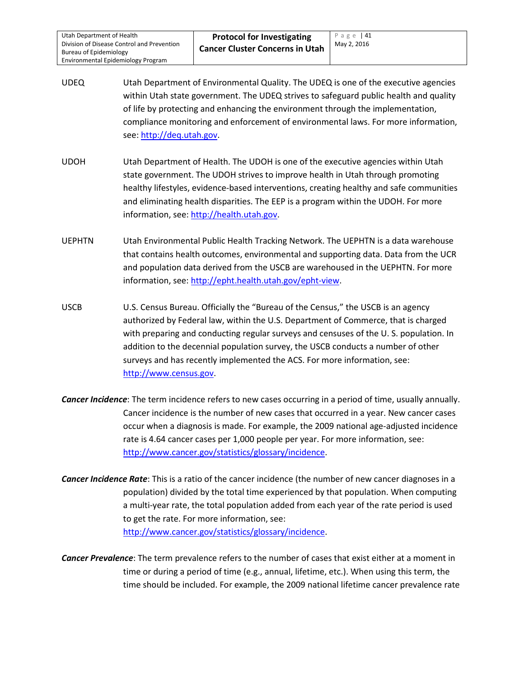Utah Department of Health Division of Disease Control and Prevention Bureau of Epidemiology Environmental Epidemiology Program

- UDEQ Utah Department of Environmental Quality. The UDEQ is one of the executive agencies within Utah state government. The UDEQ strives to safeguard public health and quality of life by protecting and enhancing the environment through the implementation, compliance monitoring and enforcement of environmental laws. For more information, see[: http://deq.utah.gov.](http://deq.utah.gov/)
- UDOH Utah Department of Health. The UDOH is one of the executive agencies within Utah state government. The UDOH strives to improve health in Utah through promoting healthy lifestyles, evidence-based interventions, creating healthy and safe communities and eliminating health disparities. The EEP is a program within the UDOH. For more information, see: [http://health.utah.gov.](http://health.utah.gov/)
- UEPHTN Utah Environmental Public Health Tracking Network. The UEPHTN is a data warehouse that contains health outcomes, environmental and supporting data. Data from the UCR and population data derived from the USCB are warehoused in the UEPHTN. For more information, see: [http://epht.health.utah.gov/epht-view.](http://epht.health.utah.gov/epht-view)
- USCB U.S. Census Bureau. Officially the "Bureau of the Census," the USCB is an agency authorized by Federal law, within the U.S. Department of Commerce, that is charged with preparing and conducting regular surveys and censuses of the U. S. population. In addition to the decennial population survey, the USCB conducts a number of other surveys and has recently implemented the ACS. For more information, see: [http://www.census.gov.](http://www.census.gov/)
- *Cancer Incidence*: The term incidence refers to new cases occurring in a period of time, usually annually. Cancer incidence is the number of new cases that occurred in a year. New cancer cases occur when a diagnosis is made. For example, the 2009 national age-adjusted incidence rate is 4.64 cancer cases per 1,000 people per year. For more information, see: [http://www.cancer.gov/statistics/glossary/incidence.](http://www.cancer.gov/statistics/glossary/incidence)
- *Cancer Incidence Rate*: This is a ratio of the cancer incidence (the number of new cancer diagnoses in a population) divided by the total time experienced by that population. When computing a multi-year rate, the total population added from each year of the rate period is used to get the rate. For more information, see: [http://www.cancer.gov/statistics/glossary/incidence.](http://www.cancer.gov/statistics/glossary/incidence)
- *Cancer Prevalence*: The term prevalence refers to the number of cases that exist either at a moment in time or during a period of time (e.g., annual, lifetime, etc.). When using this term, the time should be included. For example, the 2009 national lifetime cancer prevalence rate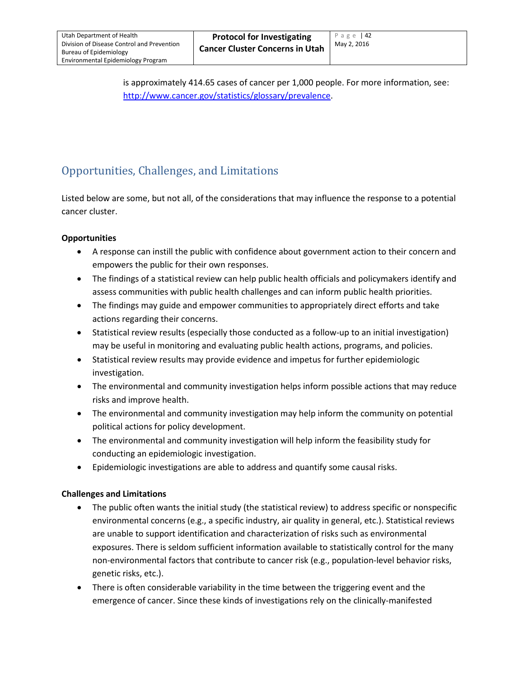is approximately 414.65 cases of cancer per 1,000 people. For more information, see: [http://www.cancer.gov/statistics/glossary/prevalence.](http://www.cancer.gov/statistics/glossary/prevalence)

# <span id="page-41-0"></span>Opportunities, Challenges, and Limitations

Listed below are some, but not all, of the considerations that may influence the response to a potential cancer cluster.

#### **Opportunities**

- A response can instill the public with confidence about government action to their concern and empowers the public for their own responses.
- The findings of a statistical review can help public health officials and policymakers identify and assess communities with public health challenges and can inform public health priorities.
- The findings may guide and empower communities to appropriately direct efforts and take actions regarding their concerns.
- Statistical review results (especially those conducted as a follow-up to an initial investigation) may be useful in monitoring and evaluating public health actions, programs, and policies.
- Statistical review results may provide evidence and impetus for further epidemiologic investigation.
- The environmental and community investigation helps inform possible actions that may reduce risks and improve health.
- The environmental and community investigation may help inform the community on potential political actions for policy development.
- The environmental and community investigation will help inform the feasibility study for conducting an epidemiologic investigation.
- Epidemiologic investigations are able to address and quantify some causal risks.

#### **Challenges and Limitations**

- The public often wants the initial study (the statistical review) to address specific or nonspecific environmental concerns (e.g., a specific industry, air quality in general, etc.). Statistical reviews are unable to support identification and characterization of risks such as environmental exposures. There is seldom sufficient information available to statistically control for the many non-environmental factors that contribute to cancer risk (e.g., population-level behavior risks, genetic risks, etc.).
- There is often considerable variability in the time between the triggering event and the emergence of cancer. Since these kinds of investigations rely on the clinically-manifested